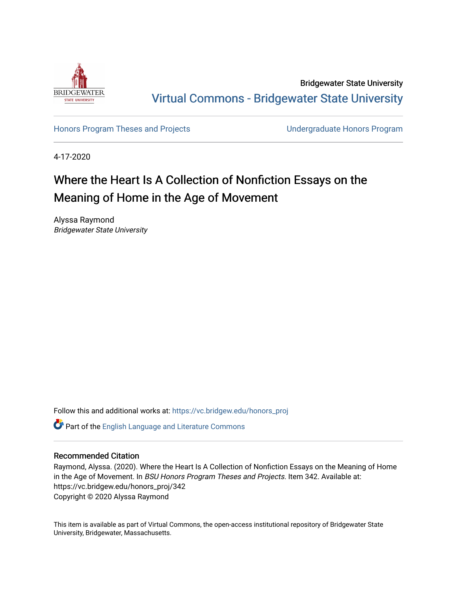

Bridgewater State University [Virtual Commons - Bridgewater State University](https://vc.bridgew.edu/) 

[Honors Program Theses and Projects](https://vc.bridgew.edu/honors_proj) [Undergraduate Honors Program](https://vc.bridgew.edu/honors) 

4-17-2020

# Where the Heart Is A Collection of Nonfiction Essays on the Meaning of Home in the Age of Movement

Alyssa Raymond Bridgewater State University

Follow this and additional works at: [https://vc.bridgew.edu/honors\\_proj](https://vc.bridgew.edu/honors_proj?utm_source=vc.bridgew.edu%2Fhonors_proj%2F342&utm_medium=PDF&utm_campaign=PDFCoverPages)

Part of the [English Language and Literature Commons](http://network.bepress.com/hgg/discipline/455?utm_source=vc.bridgew.edu%2Fhonors_proj%2F342&utm_medium=PDF&utm_campaign=PDFCoverPages)

# Recommended Citation

Raymond, Alyssa. (2020). Where the Heart Is A Collection of Nonfiction Essays on the Meaning of Home in the Age of Movement. In BSU Honors Program Theses and Projects. Item 342. Available at: https://vc.bridgew.edu/honors\_proj/342 Copyright © 2020 Alyssa Raymond

This item is available as part of Virtual Commons, the open-access institutional repository of Bridgewater State University, Bridgewater, Massachusetts.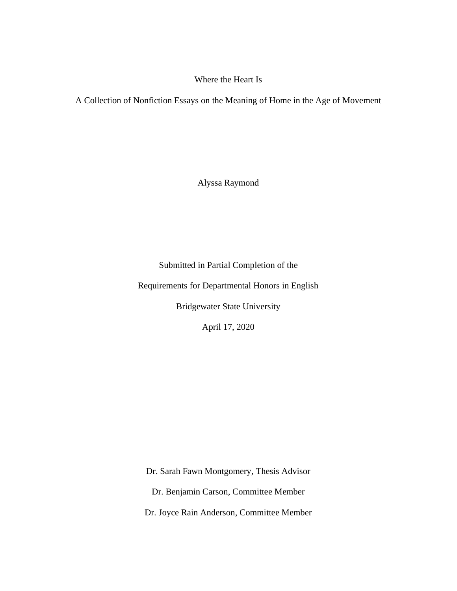# Where the Heart Is

A Collection of Nonfiction Essays on the Meaning of Home in the Age of Movement

Alyssa Raymond

Submitted in Partial Completion of the

Requirements for Departmental Honors in English

Bridgewater State University

April 17, 2020

Dr. Sarah Fawn Montgomery, Thesis Advisor Dr. Benjamin Carson, Committee Member Dr. Joyce Rain Anderson, Committee Member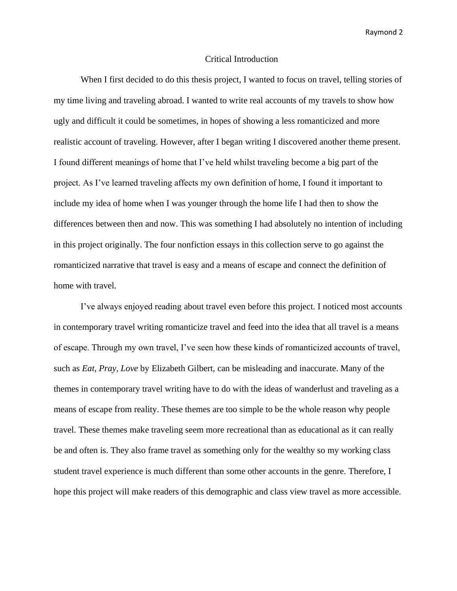#### Critical Introduction

When I first decided to do this thesis project, I wanted to focus on travel, telling stories of my time living and traveling abroad. I wanted to write real accounts of my travels to show how ugly and difficult it could be sometimes, in hopes of showing a less romanticized and more realistic account of traveling. However, after I began writing I discovered another theme present. I found different meanings of home that I've held whilst traveling become a big part of the project. As I've learned traveling affects my own definition of home, I found it important to include my idea of home when I was younger through the home life I had then to show the differences between then and now. This was something I had absolutely no intention of including in this project originally. The four nonfiction essays in this collection serve to go against the romanticized narrative that travel is easy and a means of escape and connect the definition of home with travel.

I've always enjoyed reading about travel even before this project. I noticed most accounts in contemporary travel writing romanticize travel and feed into the idea that all travel is a means of escape. Through my own travel, I've seen how these kinds of romanticized accounts of travel, such as *Eat, Pray, Love* by Elizabeth Gilbert, can be misleading and inaccurate. Many of the themes in contemporary travel writing have to do with the ideas of wanderlust and traveling as a means of escape from reality. These themes are too simple to be the whole reason why people travel. These themes make traveling seem more recreational than as educational as it can really be and often is. They also frame travel as something only for the wealthy so my working class student travel experience is much different than some other accounts in the genre. Therefore, I hope this project will make readers of this demographic and class view travel as more accessible.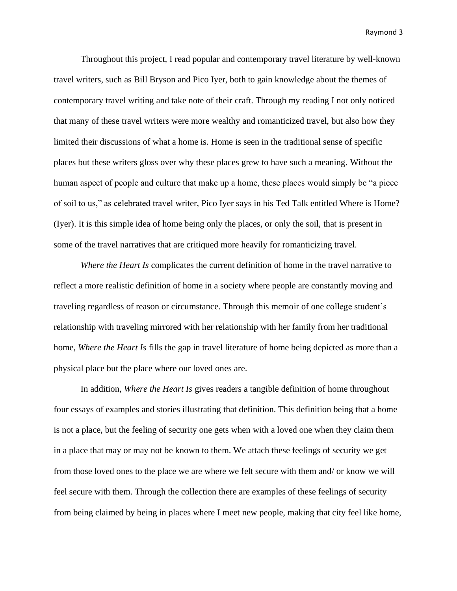Throughout this project, I read popular and contemporary travel literature by well-known travel writers, such as Bill Bryson and Pico Iyer, both to gain knowledge about the themes of contemporary travel writing and take note of their craft. Through my reading I not only noticed that many of these travel writers were more wealthy and romanticized travel, but also how they limited their discussions of what a home is. Home is seen in the traditional sense of specific places but these writers gloss over why these places grew to have such a meaning. Without the human aspect of people and culture that make up a home, these places would simply be "a piece of soil to us," as celebrated travel writer, Pico Iyer says in his Ted Talk entitled Where is Home? (Iyer). It is this simple idea of home being only the places, or only the soil, that is present in some of the travel narratives that are critiqued more heavily for romanticizing travel.

*Where the Heart Is* complicates the current definition of home in the travel narrative to reflect a more realistic definition of home in a society where people are constantly moving and traveling regardless of reason or circumstance. Through this memoir of one college student's relationship with traveling mirrored with her relationship with her family from her traditional home, *Where the Heart Is* fills the gap in travel literature of home being depicted as more than a physical place but the place where our loved ones are.

In addition, *Where the Heart Is* gives readers a tangible definition of home throughout four essays of examples and stories illustrating that definition. This definition being that a home is not a place, but the feeling of security one gets when with a loved one when they claim them in a place that may or may not be known to them. We attach these feelings of security we get from those loved ones to the place we are where we felt secure with them and/ or know we will feel secure with them. Through the collection there are examples of these feelings of security from being claimed by being in places where I meet new people, making that city feel like home,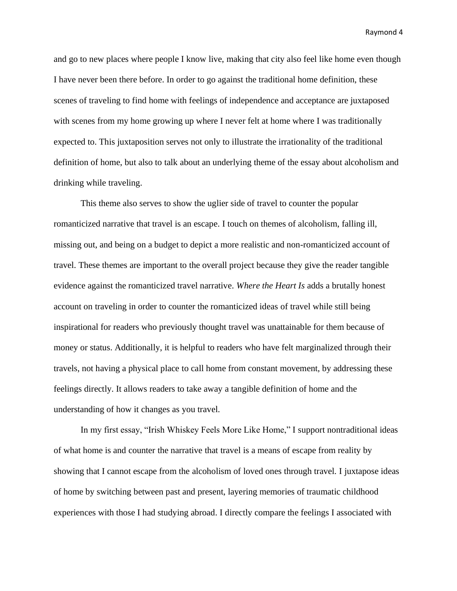and go to new places where people I know live, making that city also feel like home even though I have never been there before. In order to go against the traditional home definition, these scenes of traveling to find home with feelings of independence and acceptance are juxtaposed with scenes from my home growing up where I never felt at home where I was traditionally expected to. This juxtaposition serves not only to illustrate the irrationality of the traditional definition of home, but also to talk about an underlying theme of the essay about alcoholism and drinking while traveling.

This theme also serves to show the uglier side of travel to counter the popular romanticized narrative that travel is an escape. I touch on themes of alcoholism, falling ill, missing out, and being on a budget to depict a more realistic and non-romanticized account of travel. These themes are important to the overall project because they give the reader tangible evidence against the romanticized travel narrative. *Where the Heart Is* adds a brutally honest account on traveling in order to counter the romanticized ideas of travel while still being inspirational for readers who previously thought travel was unattainable for them because of money or status. Additionally, it is helpful to readers who have felt marginalized through their travels, not having a physical place to call home from constant movement, by addressing these feelings directly. It allows readers to take away a tangible definition of home and the understanding of how it changes as you travel.

In my first essay, "Irish Whiskey Feels More Like Home," I support nontraditional ideas of what home is and counter the narrative that travel is a means of escape from reality by showing that I cannot escape from the alcoholism of loved ones through travel. I juxtapose ideas of home by switching between past and present, layering memories of traumatic childhood experiences with those I had studying abroad. I directly compare the feelings I associated with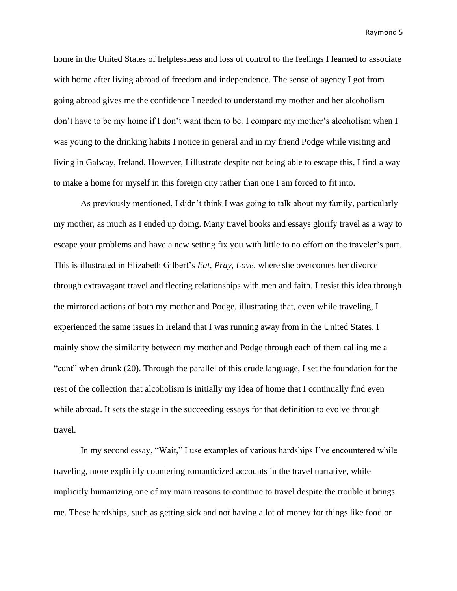home in the United States of helplessness and loss of control to the feelings I learned to associate with home after living abroad of freedom and independence. The sense of agency I got from going abroad gives me the confidence I needed to understand my mother and her alcoholism don't have to be my home if I don't want them to be. I compare my mother's alcoholism when I was young to the drinking habits I notice in general and in my friend Podge while visiting and living in Galway, Ireland. However, I illustrate despite not being able to escape this, I find a way to make a home for myself in this foreign city rather than one I am forced to fit into.

As previously mentioned, I didn't think I was going to talk about my family, particularly my mother, as much as I ended up doing. Many travel books and essays glorify travel as a way to escape your problems and have a new setting fix you with little to no effort on the traveler's part. This is illustrated in Elizabeth Gilbert's *Eat, Pray, Love,* where she overcomes her divorce through extravagant travel and fleeting relationships with men and faith. I resist this idea through the mirrored actions of both my mother and Podge, illustrating that, even while traveling, I experienced the same issues in Ireland that I was running away from in the United States. I mainly show the similarity between my mother and Podge through each of them calling me a "cunt" when drunk (20). Through the parallel of this crude language, I set the foundation for the rest of the collection that alcoholism is initially my idea of home that I continually find even while abroad. It sets the stage in the succeeding essays for that definition to evolve through travel.

In my second essay, "Wait," I use examples of various hardships I've encountered while traveling, more explicitly countering romanticized accounts in the travel narrative, while implicitly humanizing one of my main reasons to continue to travel despite the trouble it brings me. These hardships, such as getting sick and not having a lot of money for things like food or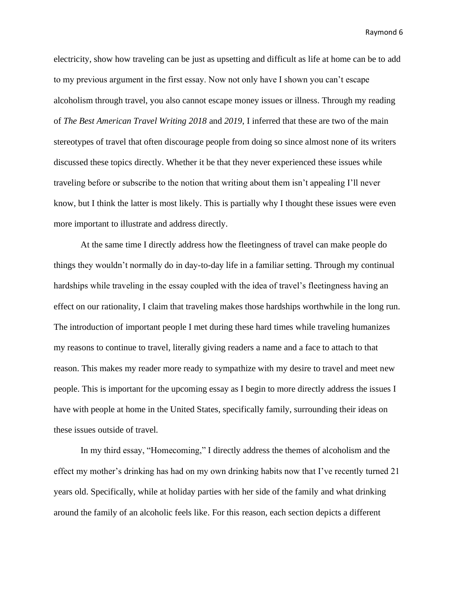electricity, show how traveling can be just as upsetting and difficult as life at home can be to add to my previous argument in the first essay. Now not only have I shown you can't escape alcoholism through travel, you also cannot escape money issues or illness. Through my reading of *The Best American Travel Writing 2018* and *2019*, I inferred that these are two of the main stereotypes of travel that often discourage people from doing so since almost none of its writers discussed these topics directly. Whether it be that they never experienced these issues while traveling before or subscribe to the notion that writing about them isn't appealing I'll never know, but I think the latter is most likely. This is partially why I thought these issues were even more important to illustrate and address directly.

At the same time I directly address how the fleetingness of travel can make people do things they wouldn't normally do in day-to-day life in a familiar setting. Through my continual hardships while traveling in the essay coupled with the idea of travel's fleetingness having an effect on our rationality, I claim that traveling makes those hardships worthwhile in the long run. The introduction of important people I met during these hard times while traveling humanizes my reasons to continue to travel, literally giving readers a name and a face to attach to that reason. This makes my reader more ready to sympathize with my desire to travel and meet new people. This is important for the upcoming essay as I begin to more directly address the issues I have with people at home in the United States, specifically family, surrounding their ideas on these issues outside of travel.

In my third essay, "Homecoming," I directly address the themes of alcoholism and the effect my mother's drinking has had on my own drinking habits now that I've recently turned 21 years old. Specifically, while at holiday parties with her side of the family and what drinking around the family of an alcoholic feels like. For this reason, each section depicts a different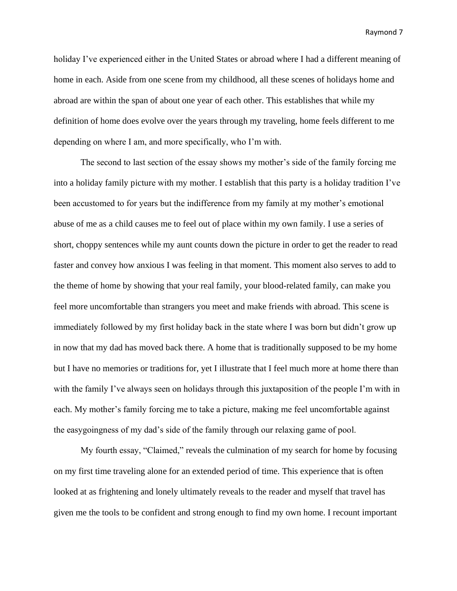holiday I've experienced either in the United States or abroad where I had a different meaning of home in each. Aside from one scene from my childhood, all these scenes of holidays home and abroad are within the span of about one year of each other. This establishes that while my definition of home does evolve over the years through my traveling, home feels different to me depending on where I am, and more specifically, who I'm with.

The second to last section of the essay shows my mother's side of the family forcing me into a holiday family picture with my mother. I establish that this party is a holiday tradition I've been accustomed to for years but the indifference from my family at my mother's emotional abuse of me as a child causes me to feel out of place within my own family. I use a series of short, choppy sentences while my aunt counts down the picture in order to get the reader to read faster and convey how anxious I was feeling in that moment. This moment also serves to add to the theme of home by showing that your real family, your blood-related family, can make you feel more uncomfortable than strangers you meet and make friends with abroad. This scene is immediately followed by my first holiday back in the state where I was born but didn't grow up in now that my dad has moved back there. A home that is traditionally supposed to be my home but I have no memories or traditions for, yet I illustrate that I feel much more at home there than with the family I've always seen on holidays through this juxtaposition of the people I'm with in each. My mother's family forcing me to take a picture, making me feel uncomfortable against the easygoingness of my dad's side of the family through our relaxing game of pool.

My fourth essay, "Claimed," reveals the culmination of my search for home by focusing on my first time traveling alone for an extended period of time. This experience that is often looked at as frightening and lonely ultimately reveals to the reader and myself that travel has given me the tools to be confident and strong enough to find my own home. I recount important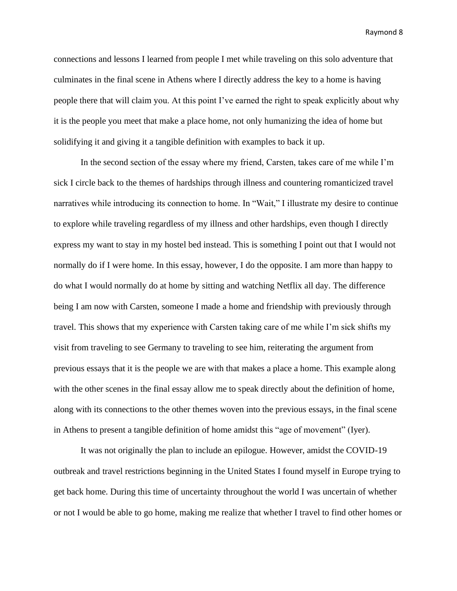connections and lessons I learned from people I met while traveling on this solo adventure that culminates in the final scene in Athens where I directly address the key to a home is having people there that will claim you. At this point I've earned the right to speak explicitly about why it is the people you meet that make a place home, not only humanizing the idea of home but solidifying it and giving it a tangible definition with examples to back it up.

In the second section of the essay where my friend, Carsten, takes care of me while I'm sick I circle back to the themes of hardships through illness and countering romanticized travel narratives while introducing its connection to home. In "Wait," I illustrate my desire to continue to explore while traveling regardless of my illness and other hardships, even though I directly express my want to stay in my hostel bed instead. This is something I point out that I would not normally do if I were home. In this essay, however, I do the opposite. I am more than happy to do what I would normally do at home by sitting and watching Netflix all day. The difference being I am now with Carsten, someone I made a home and friendship with previously through travel. This shows that my experience with Carsten taking care of me while I'm sick shifts my visit from traveling to see Germany to traveling to see him, reiterating the argument from previous essays that it is the people we are with that makes a place a home. This example along with the other scenes in the final essay allow me to speak directly about the definition of home, along with its connections to the other themes woven into the previous essays, in the final scene in Athens to present a tangible definition of home amidst this "age of movement" (Iyer).

It was not originally the plan to include an epilogue. However, amidst the COVID-19 outbreak and travel restrictions beginning in the United States I found myself in Europe trying to get back home. During this time of uncertainty throughout the world I was uncertain of whether or not I would be able to go home, making me realize that whether I travel to find other homes or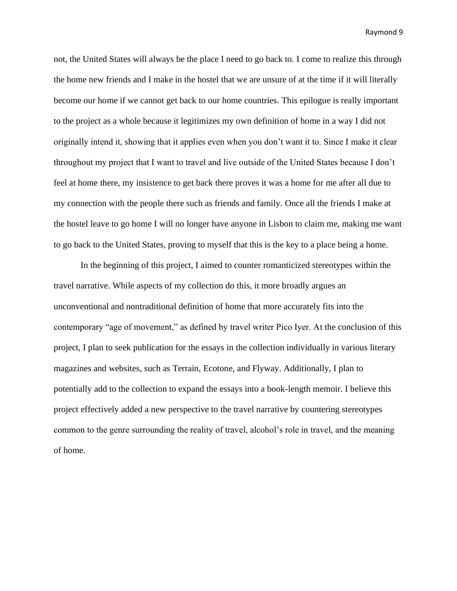not, the United States will always be the place I need to go back to. I come to realize this through the home new friends and I make in the hostel that we are unsure of at the time if it will literally become our home if we cannot get back to our home countries. This epilogue is really important to the project as a whole because it legitimizes my own definition of home in a way I did not originally intend it, showing that it applies even when you don't want it to. Since I make it clear throughout my project that I want to travel and live outside of the United States because I don't feel at home there, my insistence to get back there proves it was a home for me after all due to my connection with the people there such as friends and family. Once all the friends I make at the hostel leave to go home I will no longer have anyone in Lisbon to claim me, making me want to go back to the United States, proving to myself that this is the key to a place being a home.

In the beginning of this project, I aimed to counter romanticized stereotypes within the travel narrative. While aspects of my collection do this, it more broadly argues an unconventional and nontraditional definition of home that more accurately fits into the contemporary "age of movement," as defined by travel writer Pico Iyer. At the conclusion of this project, I plan to seek publication for the essays in the collection individually in various literary magazines and websites, such as Terrain, Ecotone, and Flyway. Additionally, I plan to potentially add to the collection to expand the essays into a book-length memoir. I believe this project effectively added a new perspective to the travel narrative by countering stereotypes common to the genre surrounding the reality of travel, alcohol's role in travel, and the meaning of home.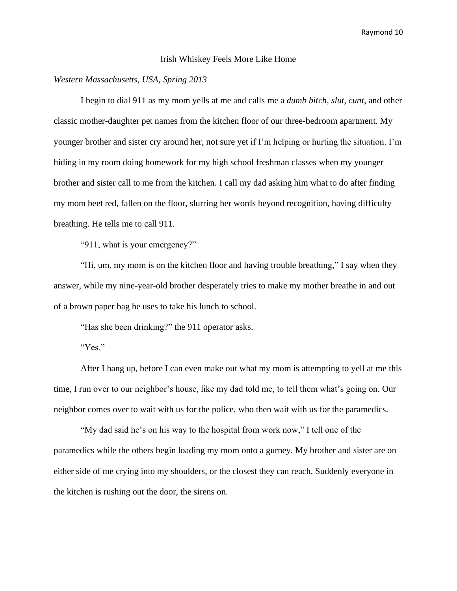#### Irish Whiskey Feels More Like Home

# *Western Massachusetts, USA, Spring 2013*

I begin to dial 911 as my mom yells at me and calls me a *dumb bitch, slut, cunt*, and other classic mother-daughter pet names from the kitchen floor of our three-bedroom apartment. My younger brother and sister cry around her, not sure yet if I'm helping or hurting the situation. I'm hiding in my room doing homework for my high school freshman classes when my younger brother and sister call to me from the kitchen. I call my dad asking him what to do after finding my mom beet red, fallen on the floor, slurring her words beyond recognition, having difficulty breathing. He tells me to call 911.

"911, what is your emergency?"

"Hi, um, my mom is on the kitchen floor and having trouble breathing," I say when they answer, while my nine-year-old brother desperately tries to make my mother breathe in and out of a brown paper bag he uses to take his lunch to school.

"Has she been drinking?" the 911 operator asks.

"Yes."

After I hang up, before I can even make out what my mom is attempting to yell at me this time, I run over to our neighbor's house, like my dad told me, to tell them what's going on. Our neighbor comes over to wait with us for the police, who then wait with us for the paramedics.

"My dad said he's on his way to the hospital from work now," I tell one of the paramedics while the others begin loading my mom onto a gurney. My brother and sister are on either side of me crying into my shoulders, or the closest they can reach. Suddenly everyone in the kitchen is rushing out the door, the sirens on.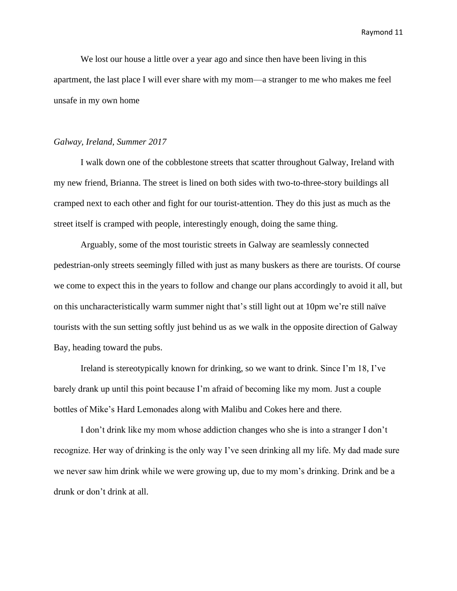We lost our house a little over a year ago and since then have been living in this apartment, the last place I will ever share with my mom—a stranger to me who makes me feel unsafe in my own home

#### *Galway, Ireland, Summer 2017*

I walk down one of the cobblestone streets that scatter throughout Galway, Ireland with my new friend, Brianna. The street is lined on both sides with two-to-three-story buildings all cramped next to each other and fight for our tourist-attention. They do this just as much as the street itself is cramped with people, interestingly enough, doing the same thing.

Arguably, some of the most touristic streets in Galway are seamlessly connected pedestrian-only streets seemingly filled with just as many buskers as there are tourists. Of course we come to expect this in the years to follow and change our plans accordingly to avoid it all, but on this uncharacteristically warm summer night that's still light out at 10pm we're still naïve tourists with the sun setting softly just behind us as we walk in the opposite direction of Galway Bay, heading toward the pubs.

Ireland is stereotypically known for drinking, so we want to drink. Since I'm 18, I've barely drank up until this point because I'm afraid of becoming like my mom. Just a couple bottles of Mike's Hard Lemonades along with Malibu and Cokes here and there.

I don't drink like my mom whose addiction changes who she is into a stranger I don't recognize. Her way of drinking is the only way I've seen drinking all my life. My dad made sure we never saw him drink while we were growing up, due to my mom's drinking. Drink and be a drunk or don't drink at all.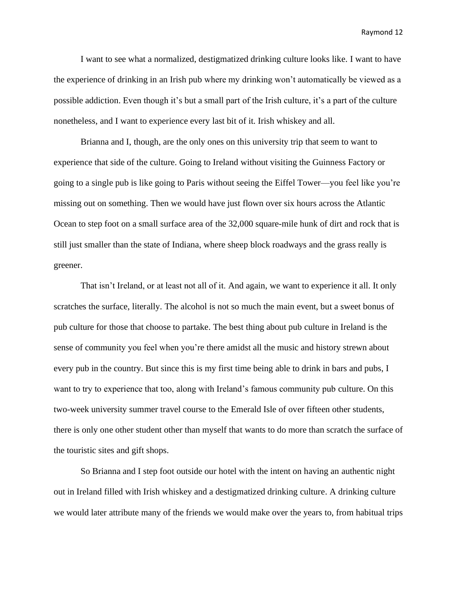I want to see what a normalized, destigmatized drinking culture looks like. I want to have the experience of drinking in an Irish pub where my drinking won't automatically be viewed as a possible addiction. Even though it's but a small part of the Irish culture, it's a part of the culture nonetheless, and I want to experience every last bit of it. Irish whiskey and all.

Brianna and I, though, are the only ones on this university trip that seem to want to experience that side of the culture. Going to Ireland without visiting the Guinness Factory or going to a single pub is like going to Paris without seeing the Eiffel Tower—you feel like you're missing out on something. Then we would have just flown over six hours across the Atlantic Ocean to step foot on a small surface area of the 32,000 square-mile hunk of dirt and rock that is still just smaller than the state of Indiana, where sheep block roadways and the grass really is greener.

That isn't Ireland, or at least not all of it. And again, we want to experience it all. It only scratches the surface, literally. The alcohol is not so much the main event, but a sweet bonus of pub culture for those that choose to partake. The best thing about pub culture in Ireland is the sense of community you feel when you're there amidst all the music and history strewn about every pub in the country. But since this is my first time being able to drink in bars and pubs, I want to try to experience that too, along with Ireland's famous community pub culture. On this two-week university summer travel course to the Emerald Isle of over fifteen other students, there is only one other student other than myself that wants to do more than scratch the surface of the touristic sites and gift shops.

So Brianna and I step foot outside our hotel with the intent on having an authentic night out in Ireland filled with Irish whiskey and a destigmatized drinking culture. A drinking culture we would later attribute many of the friends we would make over the years to, from habitual trips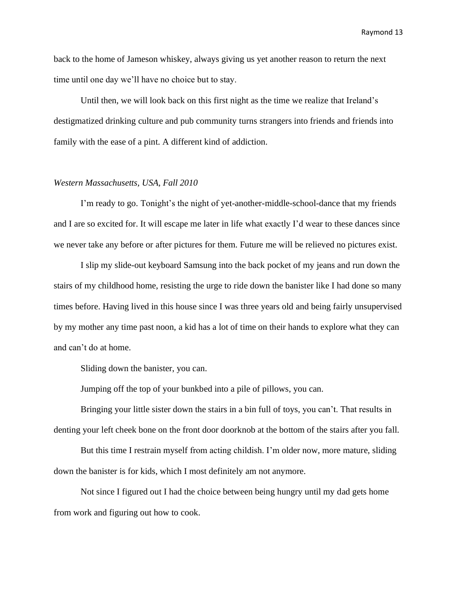back to the home of Jameson whiskey, always giving us yet another reason to return the next time until one day we'll have no choice but to stay.

Until then, we will look back on this first night as the time we realize that Ireland's destigmatized drinking culture and pub community turns strangers into friends and friends into family with the ease of a pint. A different kind of addiction.

#### *Western Massachusetts, USA, Fall 2010*

I'm ready to go. Tonight's the night of yet-another-middle-school-dance that my friends and I are so excited for. It will escape me later in life what exactly I'd wear to these dances since we never take any before or after pictures for them. Future me will be relieved no pictures exist.

I slip my slide-out keyboard Samsung into the back pocket of my jeans and run down the stairs of my childhood home, resisting the urge to ride down the banister like I had done so many times before. Having lived in this house since I was three years old and being fairly unsupervised by my mother any time past noon, a kid has a lot of time on their hands to explore what they can and can't do at home.

Sliding down the banister, you can.

Jumping off the top of your bunkbed into a pile of pillows, you can.

Bringing your little sister down the stairs in a bin full of toys, you can't. That results in denting your left cheek bone on the front door doorknob at the bottom of the stairs after you fall.

But this time I restrain myself from acting childish. I'm older now, more mature, sliding down the banister is for kids, which I most definitely am not anymore.

Not since I figured out I had the choice between being hungry until my dad gets home from work and figuring out how to cook.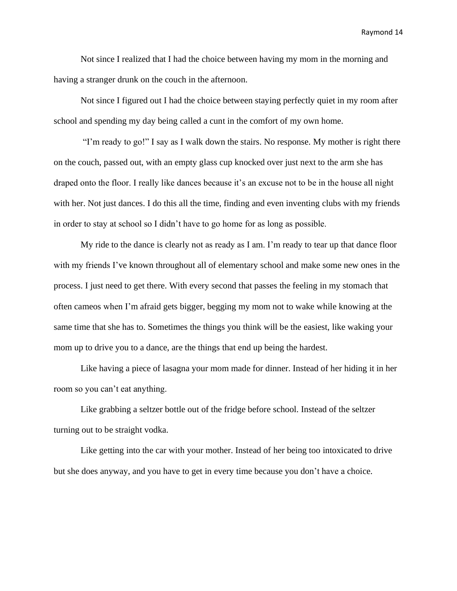Not since I realized that I had the choice between having my mom in the morning and having a stranger drunk on the couch in the afternoon.

Not since I figured out I had the choice between staying perfectly quiet in my room after school and spending my day being called a cunt in the comfort of my own home.

"I'm ready to go!" I say as I walk down the stairs. No response. My mother is right there on the couch, passed out, with an empty glass cup knocked over just next to the arm she has draped onto the floor. I really like dances because it's an excuse not to be in the house all night with her. Not just dances. I do this all the time, finding and even inventing clubs with my friends in order to stay at school so I didn't have to go home for as long as possible.

My ride to the dance is clearly not as ready as I am. I'm ready to tear up that dance floor with my friends I've known throughout all of elementary school and make some new ones in the process. I just need to get there. With every second that passes the feeling in my stomach that often cameos when I'm afraid gets bigger, begging my mom not to wake while knowing at the same time that she has to. Sometimes the things you think will be the easiest, like waking your mom up to drive you to a dance, are the things that end up being the hardest.

Like having a piece of lasagna your mom made for dinner. Instead of her hiding it in her room so you can't eat anything.

Like grabbing a seltzer bottle out of the fridge before school. Instead of the seltzer turning out to be straight vodka.

Like getting into the car with your mother. Instead of her being too intoxicated to drive but she does anyway, and you have to get in every time because you don't have a choice.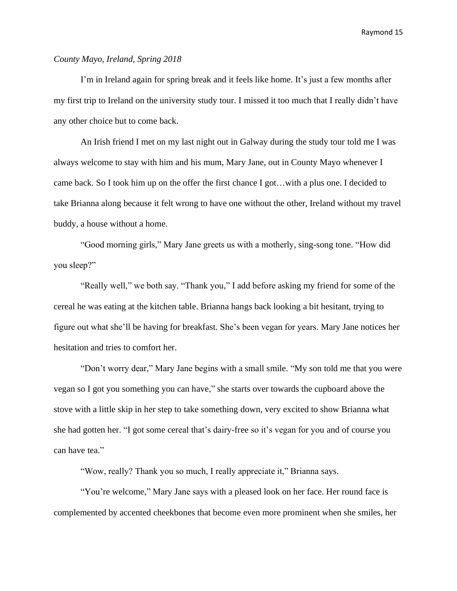# *County Mayo, Ireland, Spring 2018*

I'm in Ireland again for spring break and it feels like home. It's just a few months after my first trip to Ireland on the university study tour. I missed it too much that I really didn't have any other choice but to come back.

An Irish friend I met on my last night out in Galway during the study tour told me I was always welcome to stay with him and his mum, Mary Jane, out in County Mayo whenever I came back. So I took him up on the offer the first chance I got…with a plus one. I decided to take Brianna along because it felt wrong to have one without the other, Ireland without my travel buddy, a house without a home.

"Good morning girls," Mary Jane greets us with a motherly, sing-song tone. "How did you sleep?"

"Really well," we both say. "Thank you," I add before asking my friend for some of the cereal he was eating at the kitchen table. Brianna hangs back looking a bit hesitant, trying to figure out what she'll be having for breakfast. She's been vegan for years. Mary Jane notices her hesitation and tries to comfort her.

"Don't worry dear," Mary Jane begins with a small smile. "My son told me that you were vegan so I got you something you can have," she starts over towards the cupboard above the stove with a little skip in her step to take something down, very excited to show Brianna what she had gotten her. "I got some cereal that's dairy-free so it's vegan for you and of course you can have tea."

"Wow, really? Thank you so much, I really appreciate it," Brianna says.

"You're welcome," Mary Jane says with a pleased look on her face. Her round face is complemented by accented cheekbones that become even more prominent when she smiles, her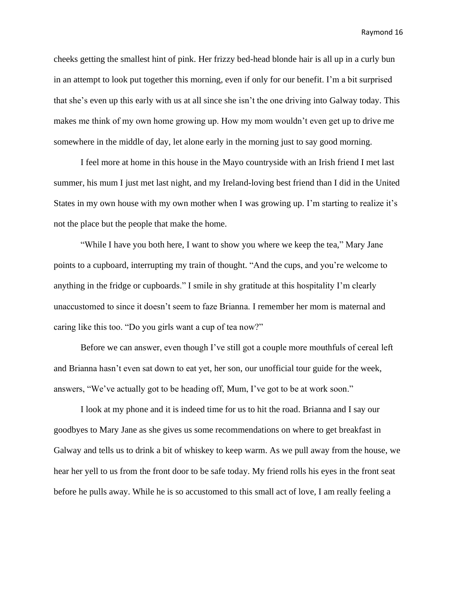cheeks getting the smallest hint of pink. Her frizzy bed-head blonde hair is all up in a curly bun in an attempt to look put together this morning, even if only for our benefit. I'm a bit surprised that she's even up this early with us at all since she isn't the one driving into Galway today. This makes me think of my own home growing up. How my mom wouldn't even get up to drive me somewhere in the middle of day, let alone early in the morning just to say good morning.

I feel more at home in this house in the Mayo countryside with an Irish friend I met last summer, his mum I just met last night, and my Ireland-loving best friend than I did in the United States in my own house with my own mother when I was growing up. I'm starting to realize it's not the place but the people that make the home.

"While I have you both here, I want to show you where we keep the tea," Mary Jane points to a cupboard, interrupting my train of thought. "And the cups, and you're welcome to anything in the fridge or cupboards." I smile in shy gratitude at this hospitality I'm clearly unaccustomed to since it doesn't seem to faze Brianna. I remember her mom is maternal and caring like this too. "Do you girls want a cup of tea now?"

Before we can answer, even though I've still got a couple more mouthfuls of cereal left and Brianna hasn't even sat down to eat yet, her son, our unofficial tour guide for the week, answers, "We've actually got to be heading off, Mum, I've got to be at work soon."

I look at my phone and it is indeed time for us to hit the road. Brianna and I say our goodbyes to Mary Jane as she gives us some recommendations on where to get breakfast in Galway and tells us to drink a bit of whiskey to keep warm. As we pull away from the house, we hear her yell to us from the front door to be safe today. My friend rolls his eyes in the front seat before he pulls away. While he is so accustomed to this small act of love, I am really feeling a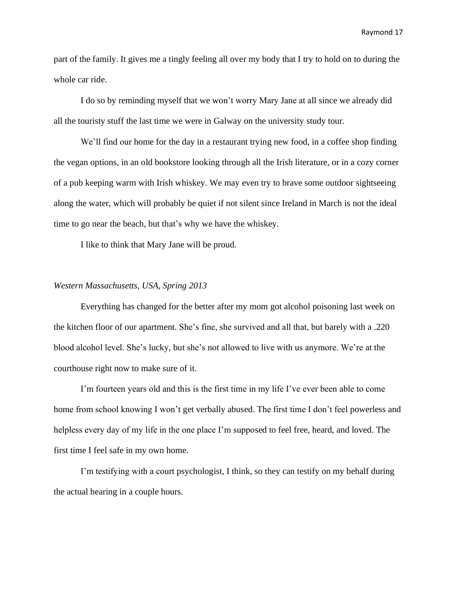part of the family. It gives me a tingly feeling all over my body that I try to hold on to during the whole car ride.

I do so by reminding myself that we won't worry Mary Jane at all since we already did all the touristy stuff the last time we were in Galway on the university study tour.

We'll find our home for the day in a restaurant trying new food, in a coffee shop finding the vegan options, in an old bookstore looking through all the Irish literature, or in a cozy corner of a pub keeping warm with Irish whiskey. We may even try to brave some outdoor sightseeing along the water, which will probably be quiet if not silent since Ireland in March is not the ideal time to go near the beach, but that's why we have the whiskey.

I like to think that Mary Jane will be proud.

### *Western Massachusetts, USA, Spring 2013*

Everything has changed for the better after my mom got alcohol poisoning last week on the kitchen floor of our apartment. She's fine, she survived and all that, but barely with a .220 blood alcohol level. She's lucky, but she's not allowed to live with us anymore. We're at the courthouse right now to make sure of it.

I'm fourteen years old and this is the first time in my life I've ever been able to come home from school knowing I won't get verbally abused. The first time I don't feel powerless and helpless every day of my life in the one place I'm supposed to feel free, heard, and loved. The first time I feel safe in my own home.

I'm testifying with a court psychologist, I think, so they can testify on my behalf during the actual hearing in a couple hours.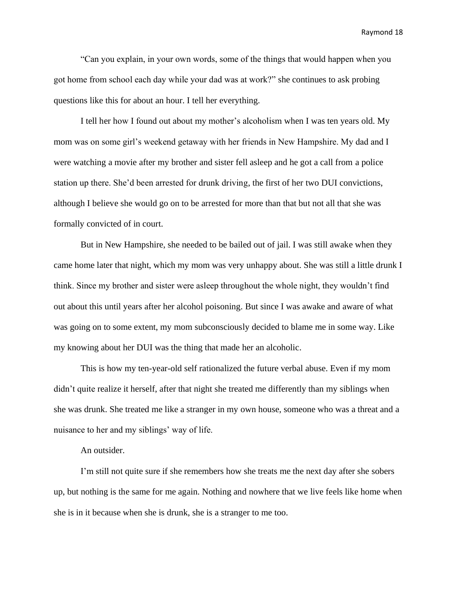"Can you explain, in your own words, some of the things that would happen when you got home from school each day while your dad was at work?" she continues to ask probing questions like this for about an hour. I tell her everything.

I tell her how I found out about my mother's alcoholism when I was ten years old. My mom was on some girl's weekend getaway with her friends in New Hampshire. My dad and I were watching a movie after my brother and sister fell asleep and he got a call from a police station up there. She'd been arrested for drunk driving, the first of her two DUI convictions, although I believe she would go on to be arrested for more than that but not all that she was formally convicted of in court.

But in New Hampshire, she needed to be bailed out of jail. I was still awake when they came home later that night, which my mom was very unhappy about. She was still a little drunk I think. Since my brother and sister were asleep throughout the whole night, they wouldn't find out about this until years after her alcohol poisoning. But since I was awake and aware of what was going on to some extent, my mom subconsciously decided to blame me in some way. Like my knowing about her DUI was the thing that made her an alcoholic.

This is how my ten-year-old self rationalized the future verbal abuse. Even if my mom didn't quite realize it herself, after that night she treated me differently than my siblings when she was drunk. She treated me like a stranger in my own house, someone who was a threat and a nuisance to her and my siblings' way of life.

#### An outsider.

I'm still not quite sure if she remembers how she treats me the next day after she sobers up, but nothing is the same for me again. Nothing and nowhere that we live feels like home when she is in it because when she is drunk, she is a stranger to me too.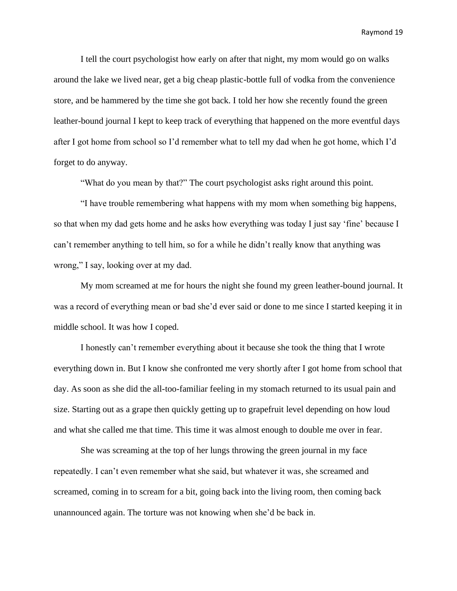I tell the court psychologist how early on after that night, my mom would go on walks around the lake we lived near, get a big cheap plastic-bottle full of vodka from the convenience store, and be hammered by the time she got back. I told her how she recently found the green leather-bound journal I kept to keep track of everything that happened on the more eventful days after I got home from school so I'd remember what to tell my dad when he got home, which I'd forget to do anyway.

"What do you mean by that?" The court psychologist asks right around this point.

"I have trouble remembering what happens with my mom when something big happens, so that when my dad gets home and he asks how everything was today I just say 'fine' because I can't remember anything to tell him, so for a while he didn't really know that anything was wrong," I say, looking over at my dad.

My mom screamed at me for hours the night she found my green leather-bound journal. It was a record of everything mean or bad she'd ever said or done to me since I started keeping it in middle school. It was how I coped.

I honestly can't remember everything about it because she took the thing that I wrote everything down in. But I know she confronted me very shortly after I got home from school that day. As soon as she did the all-too-familiar feeling in my stomach returned to its usual pain and size. Starting out as a grape then quickly getting up to grapefruit level depending on how loud and what she called me that time. This time it was almost enough to double me over in fear.

She was screaming at the top of her lungs throwing the green journal in my face repeatedly. I can't even remember what she said, but whatever it was, she screamed and screamed, coming in to scream for a bit, going back into the living room, then coming back unannounced again. The torture was not knowing when she'd be back in.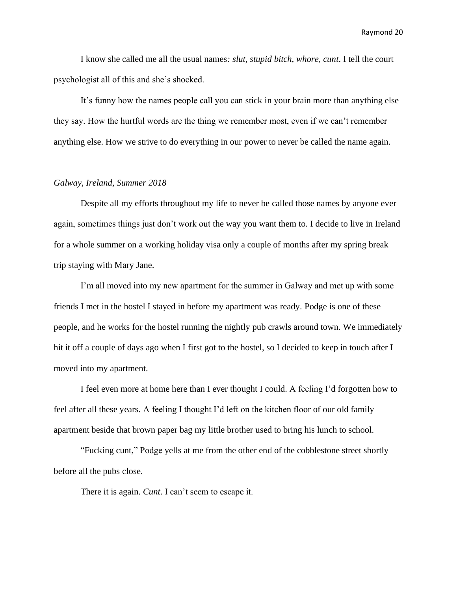I know she called me all the usual names*: slut, stupid bitch, whore, cunt*. I tell the court psychologist all of this and she's shocked.

It's funny how the names people call you can stick in your brain more than anything else they say. How the hurtful words are the thing we remember most, even if we can't remember anything else. How we strive to do everything in our power to never be called the name again.

# *Galway, Ireland, Summer 2018*

Despite all my efforts throughout my life to never be called those names by anyone ever again, sometimes things just don't work out the way you want them to. I decide to live in Ireland for a whole summer on a working holiday visa only a couple of months after my spring break trip staying with Mary Jane.

I'm all moved into my new apartment for the summer in Galway and met up with some friends I met in the hostel I stayed in before my apartment was ready. Podge is one of these people, and he works for the hostel running the nightly pub crawls around town. We immediately hit it off a couple of days ago when I first got to the hostel, so I decided to keep in touch after I moved into my apartment.

I feel even more at home here than I ever thought I could. A feeling I'd forgotten how to feel after all these years. A feeling I thought I'd left on the kitchen floor of our old family apartment beside that brown paper bag my little brother used to bring his lunch to school.

"Fucking cunt," Podge yells at me from the other end of the cobblestone street shortly before all the pubs close.

There it is again. *Cunt*. I can't seem to escape it.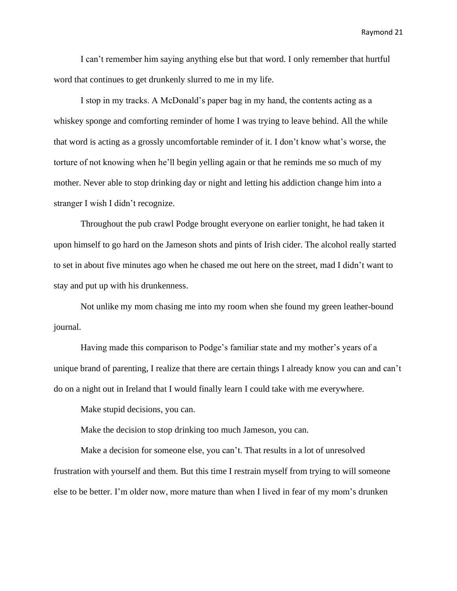I can't remember him saying anything else but that word. I only remember that hurtful word that continues to get drunkenly slurred to me in my life.

I stop in my tracks. A McDonald's paper bag in my hand, the contents acting as a whiskey sponge and comforting reminder of home I was trying to leave behind. All the while that word is acting as a grossly uncomfortable reminder of it. I don't know what's worse, the torture of not knowing when he'll begin yelling again or that he reminds me so much of my mother. Never able to stop drinking day or night and letting his addiction change him into a stranger I wish I didn't recognize.

Throughout the pub crawl Podge brought everyone on earlier tonight, he had taken it upon himself to go hard on the Jameson shots and pints of Irish cider. The alcohol really started to set in about five minutes ago when he chased me out here on the street, mad I didn't want to stay and put up with his drunkenness.

Not unlike my mom chasing me into my room when she found my green leather-bound journal.

Having made this comparison to Podge's familiar state and my mother's years of a unique brand of parenting, I realize that there are certain things I already know you can and can't do on a night out in Ireland that I would finally learn I could take with me everywhere.

Make stupid decisions, you can.

Make the decision to stop drinking too much Jameson, you can.

Make a decision for someone else, you can't. That results in a lot of unresolved frustration with yourself and them. But this time I restrain myself from trying to will someone else to be better. I'm older now, more mature than when I lived in fear of my mom's drunken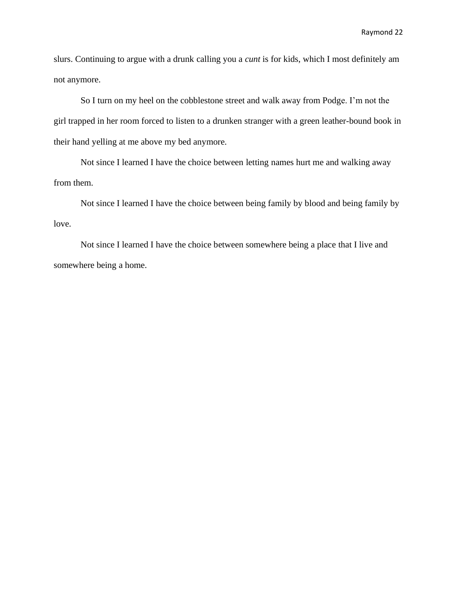slurs. Continuing to argue with a drunk calling you a *cunt* is for kids, which I most definitely am not anymore.

So I turn on my heel on the cobblestone street and walk away from Podge. I'm not the girl trapped in her room forced to listen to a drunken stranger with a green leather-bound book in their hand yelling at me above my bed anymore.

Not since I learned I have the choice between letting names hurt me and walking away from them.

Not since I learned I have the choice between being family by blood and being family by love.

Not since I learned I have the choice between somewhere being a place that I live and somewhere being a home.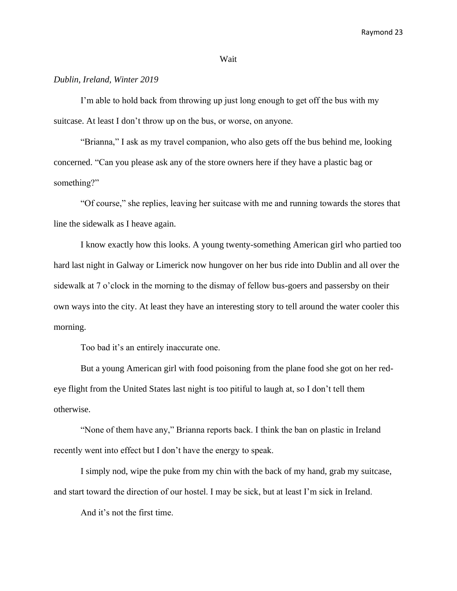#### Wait

# *Dublin, Ireland, Winter 2019*

I'm able to hold back from throwing up just long enough to get off the bus with my suitcase. At least I don't throw up on the bus, or worse, on anyone.

"Brianna," I ask as my travel companion, who also gets off the bus behind me, looking concerned. "Can you please ask any of the store owners here if they have a plastic bag or something?"

"Of course," she replies, leaving her suitcase with me and running towards the stores that line the sidewalk as I heave again.

I know exactly how this looks. A young twenty-something American girl who partied too hard last night in Galway or Limerick now hungover on her bus ride into Dublin and all over the sidewalk at 7 o'clock in the morning to the dismay of fellow bus-goers and passersby on their own ways into the city. At least they have an interesting story to tell around the water cooler this morning.

Too bad it's an entirely inaccurate one.

But a young American girl with food poisoning from the plane food she got on her redeye flight from the United States last night is too pitiful to laugh at, so I don't tell them otherwise.

"None of them have any," Brianna reports back. I think the ban on plastic in Ireland recently went into effect but I don't have the energy to speak.

I simply nod, wipe the puke from my chin with the back of my hand, grab my suitcase, and start toward the direction of our hostel. I may be sick, but at least I'm sick in Ireland.

And it's not the first time.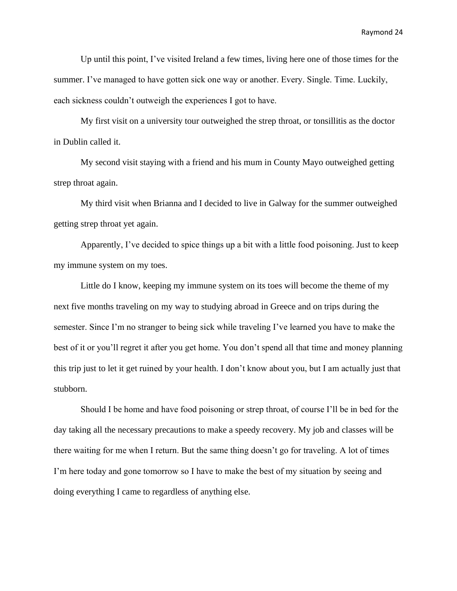Up until this point, I've visited Ireland a few times, living here one of those times for the summer. I've managed to have gotten sick one way or another. Every. Single. Time. Luckily, each sickness couldn't outweigh the experiences I got to have.

My first visit on a university tour outweighed the strep throat, or tonsillitis as the doctor in Dublin called it.

My second visit staying with a friend and his mum in County Mayo outweighed getting strep throat again.

My third visit when Brianna and I decided to live in Galway for the summer outweighed getting strep throat yet again.

Apparently, I've decided to spice things up a bit with a little food poisoning. Just to keep my immune system on my toes.

Little do I know, keeping my immune system on its toes will become the theme of my next five months traveling on my way to studying abroad in Greece and on trips during the semester. Since I'm no stranger to being sick while traveling I've learned you have to make the best of it or you'll regret it after you get home. You don't spend all that time and money planning this trip just to let it get ruined by your health. I don't know about you, but I am actually just that stubborn.

Should I be home and have food poisoning or strep throat, of course I'll be in bed for the day taking all the necessary precautions to make a speedy recovery. My job and classes will be there waiting for me when I return. But the same thing doesn't go for traveling. A lot of times I'm here today and gone tomorrow so I have to make the best of my situation by seeing and doing everything I came to regardless of anything else.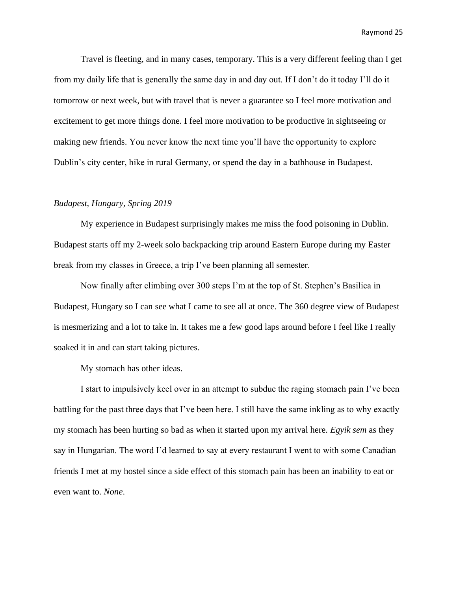Travel is fleeting, and in many cases, temporary. This is a very different feeling than I get from my daily life that is generally the same day in and day out. If I don't do it today I'll do it tomorrow or next week, but with travel that is never a guarantee so I feel more motivation and excitement to get more things done. I feel more motivation to be productive in sightseeing or making new friends. You never know the next time you'll have the opportunity to explore Dublin's city center, hike in rural Germany, or spend the day in a bathhouse in Budapest.

#### *Budapest, Hungary, Spring 2019*

My experience in Budapest surprisingly makes me miss the food poisoning in Dublin. Budapest starts off my 2-week solo backpacking trip around Eastern Europe during my Easter break from my classes in Greece, a trip I've been planning all semester.

Now finally after climbing over 300 steps I'm at the top of St. Stephen's Basilica in Budapest, Hungary so I can see what I came to see all at once. The 360 degree view of Budapest is mesmerizing and a lot to take in. It takes me a few good laps around before I feel like I really soaked it in and can start taking pictures.

My stomach has other ideas.

I start to impulsively keel over in an attempt to subdue the raging stomach pain I've been battling for the past three days that I've been here. I still have the same inkling as to why exactly my stomach has been hurting so bad as when it started upon my arrival here. *Egyik sem* as they say in Hungarian. The word I'd learned to say at every restaurant I went to with some Canadian friends I met at my hostel since a side effect of this stomach pain has been an inability to eat or even want to. *None*.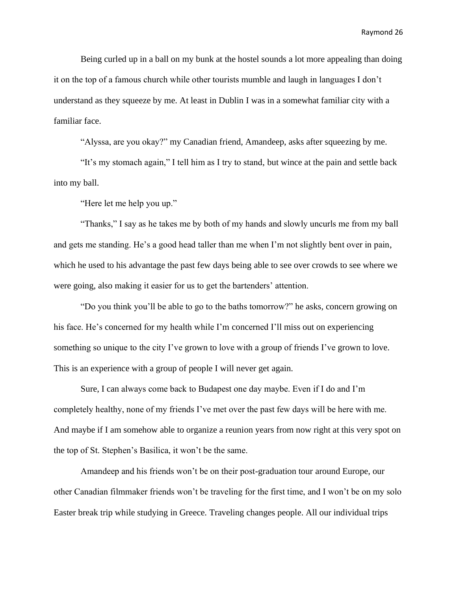Being curled up in a ball on my bunk at the hostel sounds a lot more appealing than doing it on the top of a famous church while other tourists mumble and laugh in languages I don't understand as they squeeze by me. At least in Dublin I was in a somewhat familiar city with a familiar face.

"Alyssa, are you okay?" my Canadian friend, Amandeep, asks after squeezing by me.

"It's my stomach again," I tell him as I try to stand, but wince at the pain and settle back into my ball.

"Here let me help you up."

"Thanks," I say as he takes me by both of my hands and slowly uncurls me from my ball and gets me standing. He's a good head taller than me when I'm not slightly bent over in pain, which he used to his advantage the past few days being able to see over crowds to see where we were going, also making it easier for us to get the bartenders' attention.

"Do you think you'll be able to go to the baths tomorrow?" he asks, concern growing on his face. He's concerned for my health while I'm concerned I'll miss out on experiencing something so unique to the city I've grown to love with a group of friends I've grown to love. This is an experience with a group of people I will never get again.

Sure, I can always come back to Budapest one day maybe. Even if I do and I'm completely healthy, none of my friends I've met over the past few days will be here with me. And maybe if I am somehow able to organize a reunion years from now right at this very spot on the top of St. Stephen's Basilica, it won't be the same.

Amandeep and his friends won't be on their post-graduation tour around Europe, our other Canadian filmmaker friends won't be traveling for the first time, and I won't be on my solo Easter break trip while studying in Greece. Traveling changes people. All our individual trips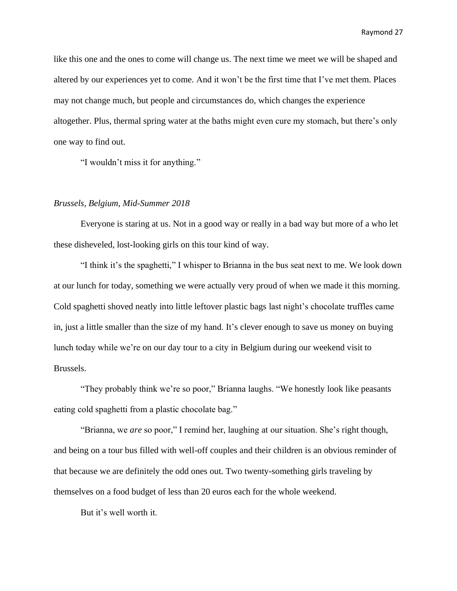like this one and the ones to come will change us. The next time we meet we will be shaped and altered by our experiences yet to come. And it won't be the first time that I've met them. Places may not change much, but people and circumstances do, which changes the experience altogether. Plus, thermal spring water at the baths might even cure my stomach, but there's only one way to find out.

"I wouldn't miss it for anything."

#### *Brussels, Belgium, Mid-Summer 2018*

Everyone is staring at us. Not in a good way or really in a bad way but more of a who let these disheveled, lost-looking girls on this tour kind of way.

"I think it's the spaghetti," I whisper to Brianna in the bus seat next to me. We look down at our lunch for today, something we were actually very proud of when we made it this morning. Cold spaghetti shoved neatly into little leftover plastic bags last night's chocolate truffles came in, just a little smaller than the size of my hand. It's clever enough to save us money on buying lunch today while we're on our day tour to a city in Belgium during our weekend visit to Brussels.

"They probably think we're so poor," Brianna laughs. "We honestly look like peasants eating cold spaghetti from a plastic chocolate bag."

"Brianna, we *are* so poor," I remind her, laughing at our situation. She's right though, and being on a tour bus filled with well-off couples and their children is an obvious reminder of that because we are definitely the odd ones out. Two twenty-something girls traveling by themselves on a food budget of less than 20 euros each for the whole weekend.

But it's well worth it.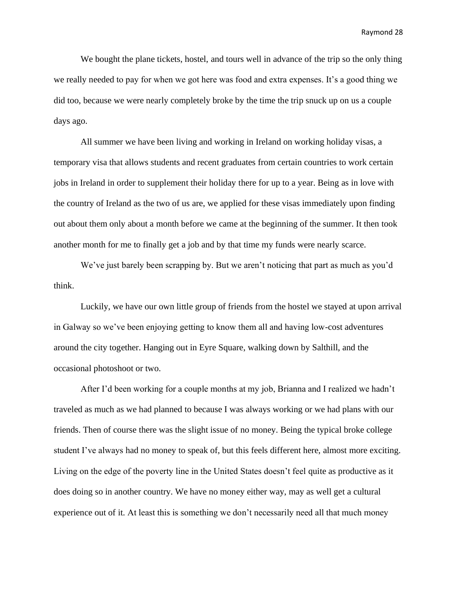We bought the plane tickets, hostel, and tours well in advance of the trip so the only thing we really needed to pay for when we got here was food and extra expenses. It's a good thing we did too, because we were nearly completely broke by the time the trip snuck up on us a couple days ago.

All summer we have been living and working in Ireland on working holiday visas, a temporary visa that allows students and recent graduates from certain countries to work certain jobs in Ireland in order to supplement their holiday there for up to a year. Being as in love with the country of Ireland as the two of us are, we applied for these visas immediately upon finding out about them only about a month before we came at the beginning of the summer. It then took another month for me to finally get a job and by that time my funds were nearly scarce.

We've just barely been scrapping by. But we aren't noticing that part as much as you'd think.

Luckily, we have our own little group of friends from the hostel we stayed at upon arrival in Galway so we've been enjoying getting to know them all and having low-cost adventures around the city together. Hanging out in Eyre Square, walking down by Salthill, and the occasional photoshoot or two.

After I'd been working for a couple months at my job, Brianna and I realized we hadn't traveled as much as we had planned to because I was always working or we had plans with our friends. Then of course there was the slight issue of no money. Being the typical broke college student I've always had no money to speak of, but this feels different here, almost more exciting. Living on the edge of the poverty line in the United States doesn't feel quite as productive as it does doing so in another country. We have no money either way, may as well get a cultural experience out of it. At least this is something we don't necessarily need all that much money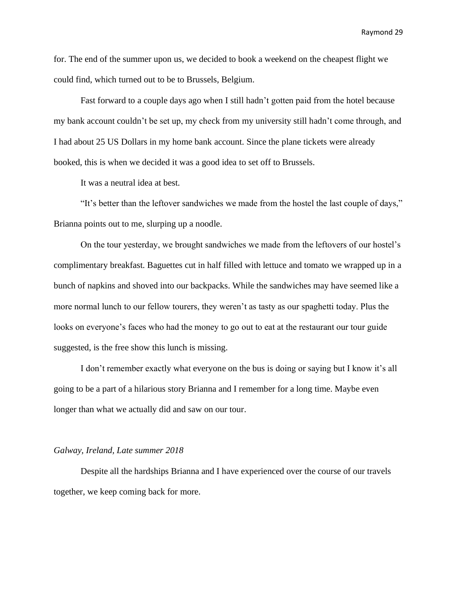for. The end of the summer upon us, we decided to book a weekend on the cheapest flight we could find, which turned out to be to Brussels, Belgium.

Fast forward to a couple days ago when I still hadn't gotten paid from the hotel because my bank account couldn't be set up, my check from my university still hadn't come through, and I had about 25 US Dollars in my home bank account. Since the plane tickets were already booked, this is when we decided it was a good idea to set off to Brussels.

It was a neutral idea at best.

"It's better than the leftover sandwiches we made from the hostel the last couple of days," Brianna points out to me, slurping up a noodle.

On the tour yesterday, we brought sandwiches we made from the leftovers of our hostel's complimentary breakfast. Baguettes cut in half filled with lettuce and tomato we wrapped up in a bunch of napkins and shoved into our backpacks. While the sandwiches may have seemed like a more normal lunch to our fellow tourers, they weren't as tasty as our spaghetti today. Plus the looks on everyone's faces who had the money to go out to eat at the restaurant our tour guide suggested, is the free show this lunch is missing.

I don't remember exactly what everyone on the bus is doing or saying but I know it's all going to be a part of a hilarious story Brianna and I remember for a long time. Maybe even longer than what we actually did and saw on our tour.

#### *Galway, Ireland, Late summer 2018*

Despite all the hardships Brianna and I have experienced over the course of our travels together, we keep coming back for more.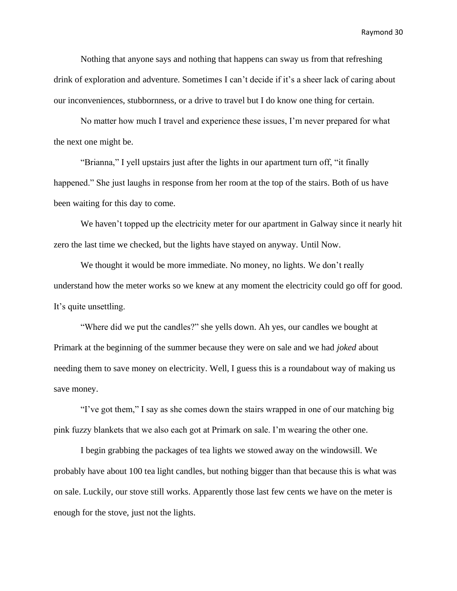Nothing that anyone says and nothing that happens can sway us from that refreshing drink of exploration and adventure. Sometimes I can't decide if it's a sheer lack of caring about our inconveniences, stubbornness, or a drive to travel but I do know one thing for certain.

No matter how much I travel and experience these issues, I'm never prepared for what the next one might be.

"Brianna," I yell upstairs just after the lights in our apartment turn off, "it finally happened." She just laughs in response from her room at the top of the stairs. Both of us have been waiting for this day to come.

We haven't topped up the electricity meter for our apartment in Galway since it nearly hit zero the last time we checked, but the lights have stayed on anyway. Until Now.

We thought it would be more immediate. No money, no lights. We don't really understand how the meter works so we knew at any moment the electricity could go off for good. It's quite unsettling.

"Where did we put the candles?" she yells down. Ah yes, our candles we bought at Primark at the beginning of the summer because they were on sale and we had *joked* about needing them to save money on electricity. Well, I guess this is a roundabout way of making us save money.

"I've got them," I say as she comes down the stairs wrapped in one of our matching big pink fuzzy blankets that we also each got at Primark on sale. I'm wearing the other one.

I begin grabbing the packages of tea lights we stowed away on the windowsill. We probably have about 100 tea light candles, but nothing bigger than that because this is what was on sale. Luckily, our stove still works. Apparently those last few cents we have on the meter is enough for the stove, just not the lights.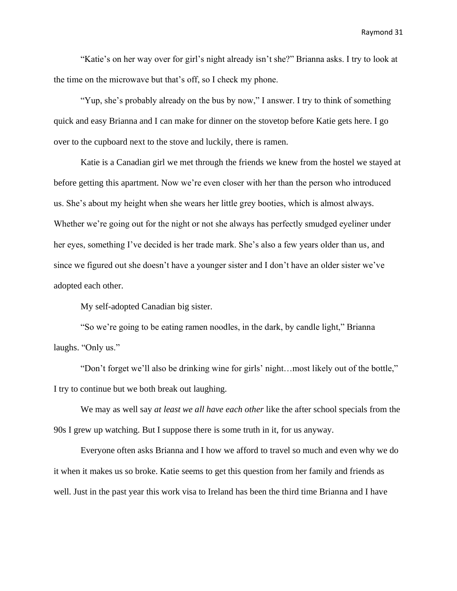"Katie's on her way over for girl's night already isn't she?" Brianna asks. I try to look at the time on the microwave but that's off, so I check my phone.

"Yup, she's probably already on the bus by now," I answer. I try to think of something quick and easy Brianna and I can make for dinner on the stovetop before Katie gets here. I go over to the cupboard next to the stove and luckily, there is ramen.

Katie is a Canadian girl we met through the friends we knew from the hostel we stayed at before getting this apartment. Now we're even closer with her than the person who introduced us. She's about my height when she wears her little grey booties, which is almost always. Whether we're going out for the night or not she always has perfectly smudged eyeliner under her eyes, something I've decided is her trade mark. She's also a few years older than us, and since we figured out she doesn't have a younger sister and I don't have an older sister we've adopted each other.

My self-adopted Canadian big sister.

"So we're going to be eating ramen noodles, in the dark, by candle light," Brianna laughs. "Only us."

"Don't forget we'll also be drinking wine for girls' night…most likely out of the bottle," I try to continue but we both break out laughing.

We may as well say *at least we all have each other* like the after school specials from the 90s I grew up watching. But I suppose there is some truth in it, for us anyway.

Everyone often asks Brianna and I how we afford to travel so much and even why we do it when it makes us so broke. Katie seems to get this question from her family and friends as well. Just in the past year this work visa to Ireland has been the third time Brianna and I have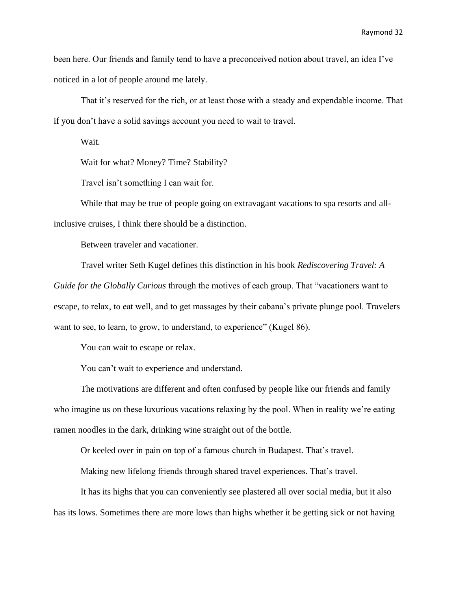been here. Our friends and family tend to have a preconceived notion about travel, an idea I've noticed in a lot of people around me lately.

That it's reserved for the rich, or at least those with a steady and expendable income. That if you don't have a solid savings account you need to wait to travel.

Wait.

Wait for what? Money? Time? Stability?

Travel isn't something I can wait for.

While that may be true of people going on extravagant vacations to spa resorts and allinclusive cruises, I think there should be a distinction.

Between traveler and vacationer.

Travel writer Seth Kugel defines this distinction in his book *Rediscovering Travel: A Guide for the Globally Curious* through the motives of each group. That "vacationers want to escape, to relax, to eat well, and to get massages by their cabana's private plunge pool. Travelers want to see, to learn, to grow, to understand, to experience" (Kugel 86).

You can wait to escape or relax.

You can't wait to experience and understand.

The motivations are different and often confused by people like our friends and family who imagine us on these luxurious vacations relaxing by the pool. When in reality we're eating ramen noodles in the dark, drinking wine straight out of the bottle.

Or keeled over in pain on top of a famous church in Budapest. That's travel.

Making new lifelong friends through shared travel experiences. That's travel.

It has its highs that you can conveniently see plastered all over social media, but it also has its lows. Sometimes there are more lows than highs whether it be getting sick or not having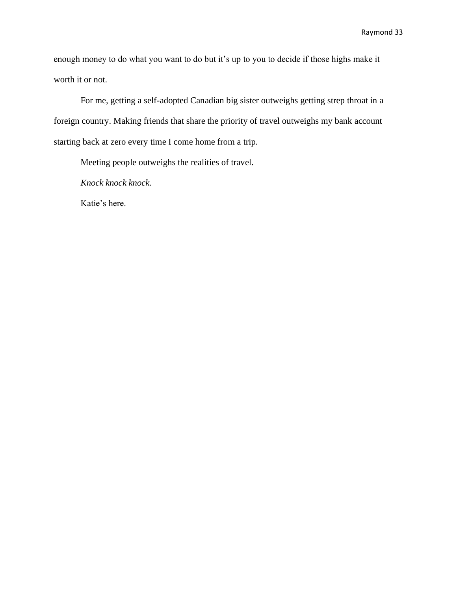enough money to do what you want to do but it's up to you to decide if those highs make it worth it or not.

For me, getting a self-adopted Canadian big sister outweighs getting strep throat in a foreign country. Making friends that share the priority of travel outweighs my bank account starting back at zero every time I come home from a trip.

Meeting people outweighs the realities of travel.

*Knock knock knock.*

Katie's here.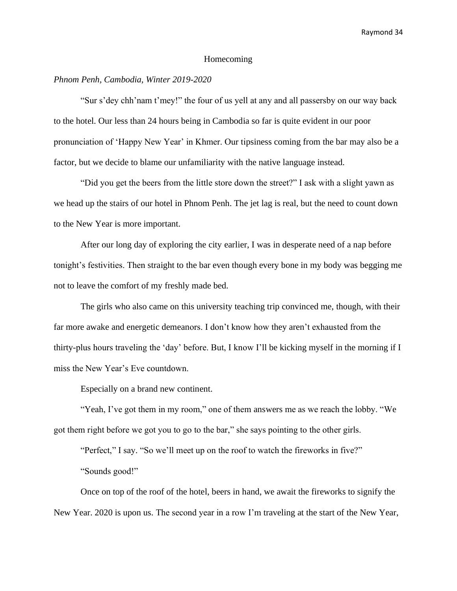#### Homecoming

### *Phnom Penh, Cambodia, Winter 2019-2020*

"Sur s'dey chh'nam t'mey!" the four of us yell at any and all passersby on our way back to the hotel. Our less than 24 hours being in Cambodia so far is quite evident in our poor pronunciation of 'Happy New Year' in Khmer. Our tipsiness coming from the bar may also be a factor, but we decide to blame our unfamiliarity with the native language instead.

"Did you get the beers from the little store down the street?" I ask with a slight yawn as we head up the stairs of our hotel in Phnom Penh. The jet lag is real, but the need to count down to the New Year is more important.

After our long day of exploring the city earlier, I was in desperate need of a nap before tonight's festivities. Then straight to the bar even though every bone in my body was begging me not to leave the comfort of my freshly made bed.

The girls who also came on this university teaching trip convinced me, though, with their far more awake and energetic demeanors. I don't know how they aren't exhausted from the thirty-plus hours traveling the 'day' before. But, I know I'll be kicking myself in the morning if I miss the New Year's Eve countdown.

Especially on a brand new continent.

"Yeah, I've got them in my room," one of them answers me as we reach the lobby. "We got them right before we got you to go to the bar," she says pointing to the other girls.

"Perfect," I say. "So we'll meet up on the roof to watch the fireworks in five?"

"Sounds good!"

Once on top of the roof of the hotel, beers in hand, we await the fireworks to signify the New Year. 2020 is upon us. The second year in a row I'm traveling at the start of the New Year,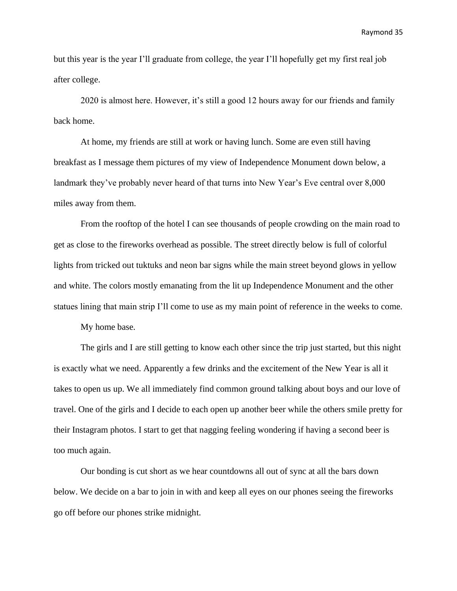but this year is the year I'll graduate from college, the year I'll hopefully get my first real job after college.

2020 is almost here. However, it's still a good 12 hours away for our friends and family back home.

At home, my friends are still at work or having lunch. Some are even still having breakfast as I message them pictures of my view of Independence Monument down below, a landmark they've probably never heard of that turns into New Year's Eve central over 8,000 miles away from them.

From the rooftop of the hotel I can see thousands of people crowding on the main road to get as close to the fireworks overhead as possible. The street directly below is full of colorful lights from tricked out tuktuks and neon bar signs while the main street beyond glows in yellow and white. The colors mostly emanating from the lit up Independence Monument and the other statues lining that main strip I'll come to use as my main point of reference in the weeks to come.

My home base.

The girls and I are still getting to know each other since the trip just started, but this night is exactly what we need. Apparently a few drinks and the excitement of the New Year is all it takes to open us up. We all immediately find common ground talking about boys and our love of travel. One of the girls and I decide to each open up another beer while the others smile pretty for their Instagram photos. I start to get that nagging feeling wondering if having a second beer is too much again.

Our bonding is cut short as we hear countdowns all out of sync at all the bars down below. We decide on a bar to join in with and keep all eyes on our phones seeing the fireworks go off before our phones strike midnight.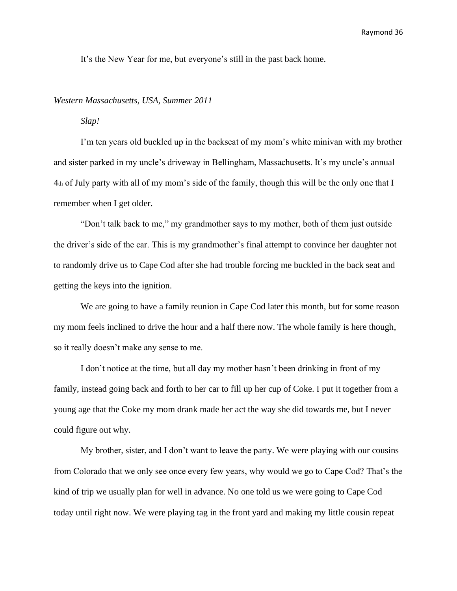It's the New Year for me, but everyone's still in the past back home.

#### *Western Massachusetts, USA, Summer 2011*

# *Slap!*

I'm ten years old buckled up in the backseat of my mom's white minivan with my brother and sister parked in my uncle's driveway in Bellingham, Massachusetts. It's my uncle's annual 4th of July party with all of my mom's side of the family, though this will be the only one that I remember when I get older.

"Don't talk back to me," my grandmother says to my mother, both of them just outside the driver's side of the car. This is my grandmother's final attempt to convince her daughter not to randomly drive us to Cape Cod after she had trouble forcing me buckled in the back seat and getting the keys into the ignition.

We are going to have a family reunion in Cape Cod later this month, but for some reason my mom feels inclined to drive the hour and a half there now. The whole family is here though, so it really doesn't make any sense to me.

I don't notice at the time, but all day my mother hasn't been drinking in front of my family, instead going back and forth to her car to fill up her cup of Coke. I put it together from a young age that the Coke my mom drank made her act the way she did towards me, but I never could figure out why.

My brother, sister, and I don't want to leave the party. We were playing with our cousins from Colorado that we only see once every few years, why would we go to Cape Cod? That's the kind of trip we usually plan for well in advance. No one told us we were going to Cape Cod today until right now. We were playing tag in the front yard and making my little cousin repeat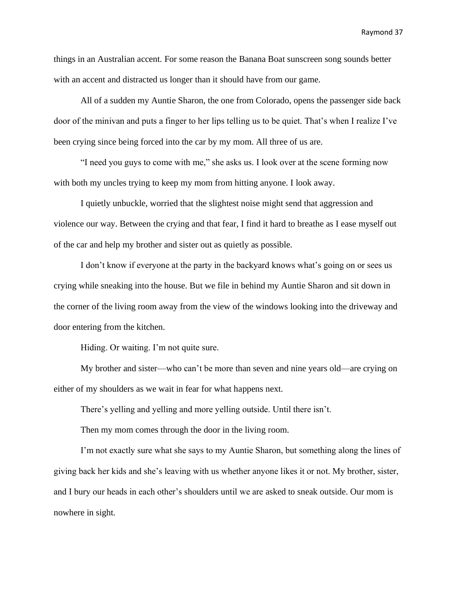things in an Australian accent. For some reason the Banana Boat sunscreen song sounds better with an accent and distracted us longer than it should have from our game.

All of a sudden my Auntie Sharon, the one from Colorado, opens the passenger side back door of the minivan and puts a finger to her lips telling us to be quiet. That's when I realize I've been crying since being forced into the car by my mom. All three of us are.

"I need you guys to come with me," she asks us. I look over at the scene forming now with both my uncles trying to keep my mom from hitting anyone. I look away.

I quietly unbuckle, worried that the slightest noise might send that aggression and violence our way. Between the crying and that fear, I find it hard to breathe as I ease myself out of the car and help my brother and sister out as quietly as possible.

I don't know if everyone at the party in the backyard knows what's going on or sees us crying while sneaking into the house. But we file in behind my Auntie Sharon and sit down in the corner of the living room away from the view of the windows looking into the driveway and door entering from the kitchen.

Hiding. Or waiting. I'm not quite sure.

My brother and sister—who can't be more than seven and nine years old—are crying on either of my shoulders as we wait in fear for what happens next.

There's yelling and yelling and more yelling outside. Until there isn't.

Then my mom comes through the door in the living room.

I'm not exactly sure what she says to my Auntie Sharon, but something along the lines of giving back her kids and she's leaving with us whether anyone likes it or not. My brother, sister, and I bury our heads in each other's shoulders until we are asked to sneak outside. Our mom is nowhere in sight.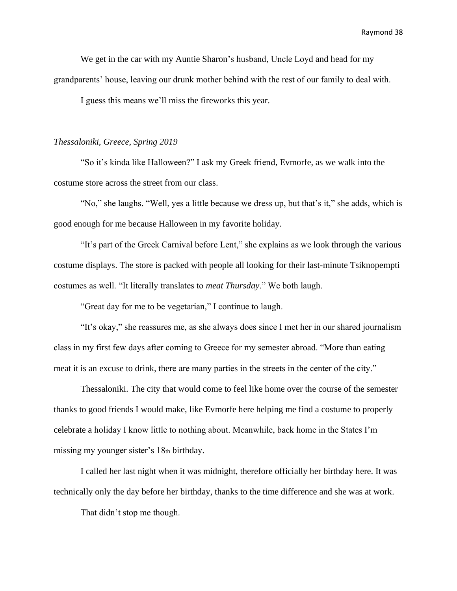We get in the car with my Auntie Sharon's husband, Uncle Loyd and head for my grandparents' house, leaving our drunk mother behind with the rest of our family to deal with.

I guess this means we'll miss the fireworks this year.

#### *Thessaloniki, Greece, Spring 2019*

"So it's kinda like Halloween?" I ask my Greek friend, Evmorfe, as we walk into the costume store across the street from our class.

"No," she laughs. "Well, yes a little because we dress up, but that's it," she adds, which is good enough for me because Halloween in my favorite holiday.

"It's part of the Greek Carnival before Lent," she explains as we look through the various costume displays. The store is packed with people all looking for their last-minute Tsiknopempti costumes as well. "It literally translates to *meat Thursday*." We both laugh.

"Great day for me to be vegetarian," I continue to laugh.

"It's okay," she reassures me, as she always does since I met her in our shared journalism class in my first few days after coming to Greece for my semester abroad. "More than eating meat it is an excuse to drink, there are many parties in the streets in the center of the city."

Thessaloniki. The city that would come to feel like home over the course of the semester thanks to good friends I would make, like Evmorfe here helping me find a costume to properly celebrate a holiday I know little to nothing about. Meanwhile, back home in the States I'm missing my younger sister's 18th birthday.

I called her last night when it was midnight, therefore officially her birthday here. It was technically only the day before her birthday, thanks to the time difference and she was at work.

That didn't stop me though.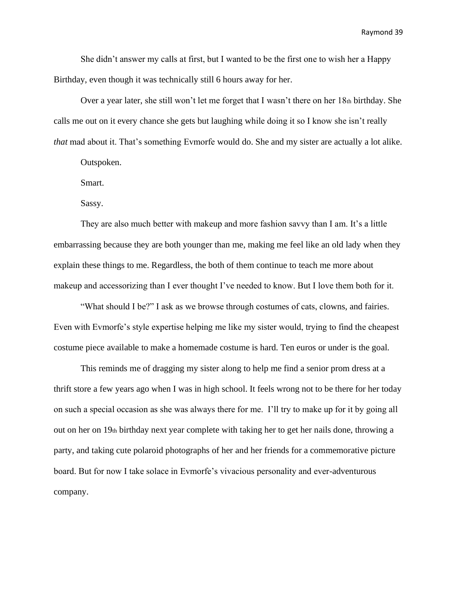She didn't answer my calls at first, but I wanted to be the first one to wish her a Happy Birthday, even though it was technically still 6 hours away for her.

Over a year later, she still won't let me forget that I wasn't there on her  $18<sub>th</sub>$  birthday. She calls me out on it every chance she gets but laughing while doing it so I know she isn't really *that* mad about it. That's something Evmorfe would do. She and my sister are actually a lot alike.

Outspoken.

Smart.

Sassy.

They are also much better with makeup and more fashion savvy than I am. It's a little embarrassing because they are both younger than me, making me feel like an old lady when they explain these things to me. Regardless, the both of them continue to teach me more about makeup and accessorizing than I ever thought I've needed to know. But I love them both for it.

"What should I be?" I ask as we browse through costumes of cats, clowns, and fairies. Even with Evmorfe's style expertise helping me like my sister would, trying to find the cheapest costume piece available to make a homemade costume is hard. Ten euros or under is the goal.

This reminds me of dragging my sister along to help me find a senior prom dress at a thrift store a few years ago when I was in high school. It feels wrong not to be there for her today on such a special occasion as she was always there for me. I'll try to make up for it by going all out on her on 19th birthday next year complete with taking her to get her nails done, throwing a party, and taking cute polaroid photographs of her and her friends for a commemorative picture board. But for now I take solace in Evmorfe's vivacious personality and ever-adventurous company.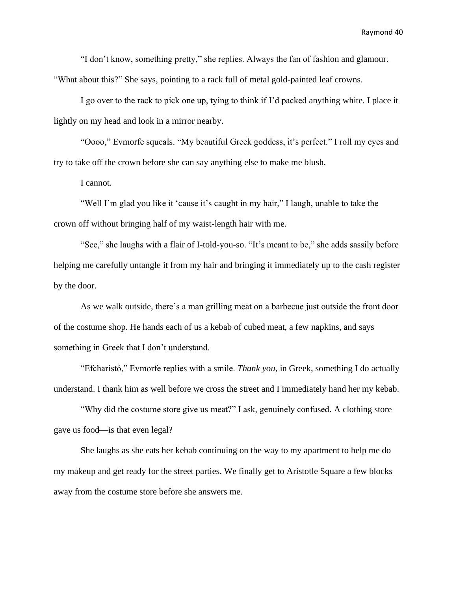"I don't know, something pretty," she replies. Always the fan of fashion and glamour. "What about this?" She says, pointing to a rack full of metal gold-painted leaf crowns.

I go over to the rack to pick one up, tying to think if I'd packed anything white. I place it lightly on my head and look in a mirror nearby.

"Oooo," Evmorfe squeals. "My beautiful Greek goddess, it's perfect." I roll my eyes and try to take off the crown before she can say anything else to make me blush.

I cannot.

"Well I'm glad you like it 'cause it's caught in my hair," I laugh, unable to take the crown off without bringing half of my waist-length hair with me.

"See," she laughs with a flair of I-told-you-so. "It's meant to be," she adds sassily before helping me carefully untangle it from my hair and bringing it immediately up to the cash register by the door.

As we walk outside, there's a man grilling meat on a barbecue just outside the front door of the costume shop. He hands each of us a kebab of cubed meat, a few napkins, and says something in Greek that I don't understand.

"Efcharistó," Evmorfe replies with a smile. *Thank you*, in Greek, something I do actually understand. I thank him as well before we cross the street and I immediately hand her my kebab.

"Why did the costume store give us meat?" I ask, genuinely confused. A clothing store gave us food—is that even legal?

She laughs as she eats her kebab continuing on the way to my apartment to help me do my makeup and get ready for the street parties. We finally get to Aristotle Square a few blocks away from the costume store before she answers me.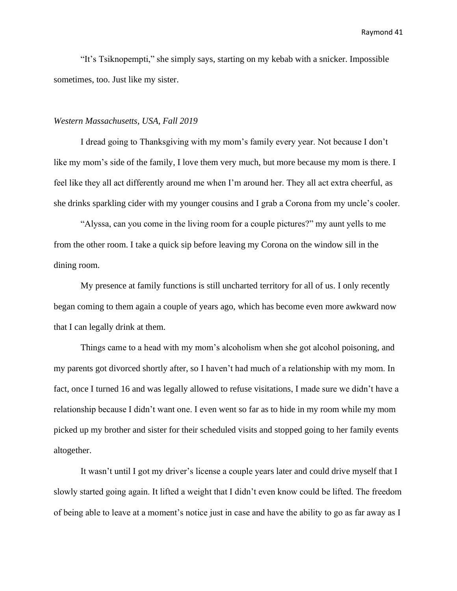"It's Tsiknopempti," she simply says, starting on my kebab with a snicker. Impossible sometimes, too. Just like my sister.

#### *Western Massachusetts, USA, Fall 2019*

I dread going to Thanksgiving with my mom's family every year. Not because I don't like my mom's side of the family, I love them very much, but more because my mom is there. I feel like they all act differently around me when I'm around her. They all act extra cheerful, as she drinks sparkling cider with my younger cousins and I grab a Corona from my uncle's cooler.

"Alyssa, can you come in the living room for a couple pictures?" my aunt yells to me from the other room. I take a quick sip before leaving my Corona on the window sill in the dining room.

My presence at family functions is still uncharted territory for all of us. I only recently began coming to them again a couple of years ago, which has become even more awkward now that I can legally drink at them.

Things came to a head with my mom's alcoholism when she got alcohol poisoning, and my parents got divorced shortly after, so I haven't had much of a relationship with my mom. In fact, once I turned 16 and was legally allowed to refuse visitations, I made sure we didn't have a relationship because I didn't want one. I even went so far as to hide in my room while my mom picked up my brother and sister for their scheduled visits and stopped going to her family events altogether.

It wasn't until I got my driver's license a couple years later and could drive myself that I slowly started going again. It lifted a weight that I didn't even know could be lifted. The freedom of being able to leave at a moment's notice just in case and have the ability to go as far away as I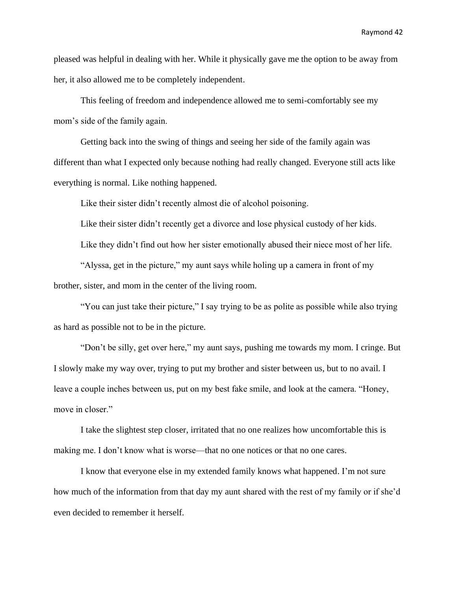pleased was helpful in dealing with her. While it physically gave me the option to be away from her, it also allowed me to be completely independent.

This feeling of freedom and independence allowed me to semi-comfortably see my mom's side of the family again.

Getting back into the swing of things and seeing her side of the family again was different than what I expected only because nothing had really changed. Everyone still acts like everything is normal. Like nothing happened.

Like their sister didn't recently almost die of alcohol poisoning.

Like their sister didn't recently get a divorce and lose physical custody of her kids.

Like they didn't find out how her sister emotionally abused their niece most of her life.

"Alyssa, get in the picture," my aunt says while holing up a camera in front of my brother, sister, and mom in the center of the living room.

"You can just take their picture," I say trying to be as polite as possible while also trying as hard as possible not to be in the picture.

"Don't be silly, get over here," my aunt says, pushing me towards my mom. I cringe. But I slowly make my way over, trying to put my brother and sister between us, but to no avail. I leave a couple inches between us, put on my best fake smile, and look at the camera. "Honey, move in closer."

I take the slightest step closer, irritated that no one realizes how uncomfortable this is making me. I don't know what is worse—that no one notices or that no one cares.

I know that everyone else in my extended family knows what happened. I'm not sure how much of the information from that day my aunt shared with the rest of my family or if she'd even decided to remember it herself.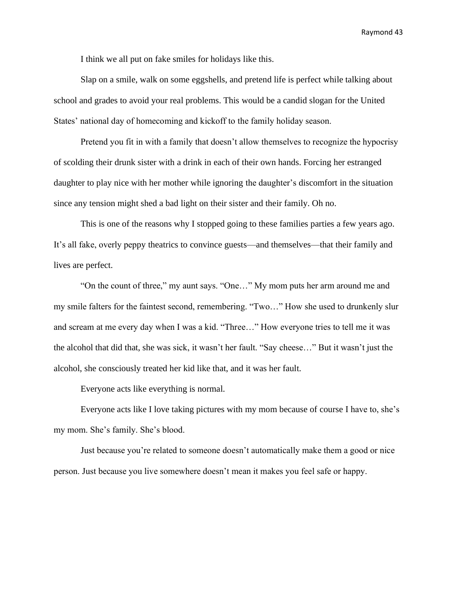I think we all put on fake smiles for holidays like this.

Slap on a smile, walk on some eggshells, and pretend life is perfect while talking about school and grades to avoid your real problems. This would be a candid slogan for the United States' national day of homecoming and kickoff to the family holiday season.

Pretend you fit in with a family that doesn't allow themselves to recognize the hypocrisy of scolding their drunk sister with a drink in each of their own hands. Forcing her estranged daughter to play nice with her mother while ignoring the daughter's discomfort in the situation since any tension might shed a bad light on their sister and their family. Oh no.

This is one of the reasons why I stopped going to these families parties a few years ago. It's all fake, overly peppy theatrics to convince guests—and themselves—that their family and lives are perfect.

"On the count of three," my aunt says. "One…" My mom puts her arm around me and my smile falters for the faintest second, remembering. "Two…" How she used to drunkenly slur and scream at me every day when I was a kid. "Three…" How everyone tries to tell me it was the alcohol that did that, she was sick, it wasn't her fault. "Say cheese…" But it wasn't just the alcohol, she consciously treated her kid like that, and it was her fault.

Everyone acts like everything is normal.

Everyone acts like I love taking pictures with my mom because of course I have to, she's my mom. She's family. She's blood.

Just because you're related to someone doesn't automatically make them a good or nice person. Just because you live somewhere doesn't mean it makes you feel safe or happy.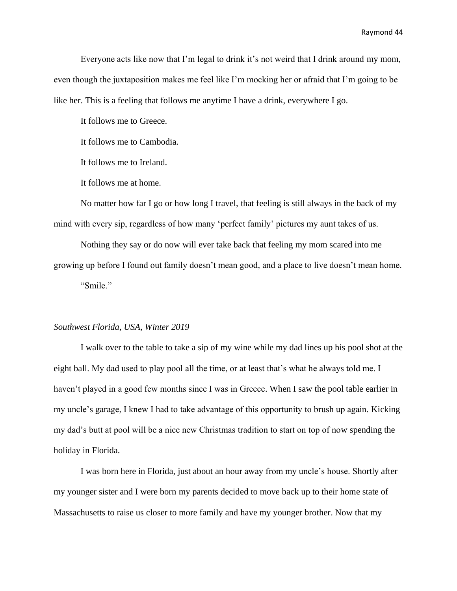Everyone acts like now that I'm legal to drink it's not weird that I drink around my mom, even though the juxtaposition makes me feel like I'm mocking her or afraid that I'm going to be like her. This is a feeling that follows me anytime I have a drink, everywhere I go.

It follows me to Greece.

It follows me to Cambodia.

It follows me to Ireland.

It follows me at home.

No matter how far I go or how long I travel, that feeling is still always in the back of my mind with every sip, regardless of how many 'perfect family' pictures my aunt takes of us.

Nothing they say or do now will ever take back that feeling my mom scared into me growing up before I found out family doesn't mean good, and a place to live doesn't mean home. "Smile."

#### *Southwest Florida, USA, Winter 2019*

I walk over to the table to take a sip of my wine while my dad lines up his pool shot at the eight ball. My dad used to play pool all the time, or at least that's what he always told me. I haven't played in a good few months since I was in Greece. When I saw the pool table earlier in my uncle's garage, I knew I had to take advantage of this opportunity to brush up again. Kicking my dad's butt at pool will be a nice new Christmas tradition to start on top of now spending the holiday in Florida.

I was born here in Florida, just about an hour away from my uncle's house. Shortly after my younger sister and I were born my parents decided to move back up to their home state of Massachusetts to raise us closer to more family and have my younger brother. Now that my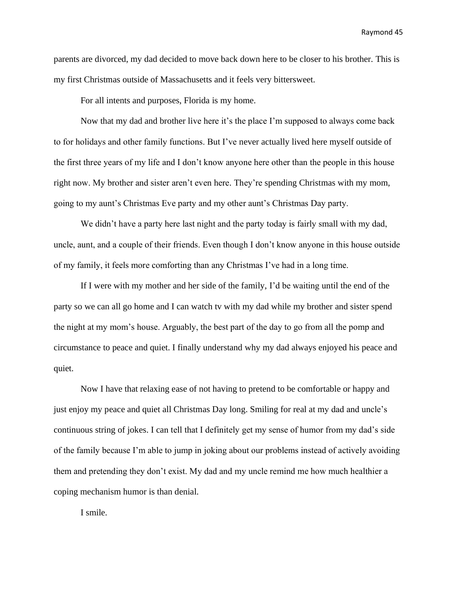parents are divorced, my dad decided to move back down here to be closer to his brother. This is my first Christmas outside of Massachusetts and it feels very bittersweet.

For all intents and purposes, Florida is my home.

Now that my dad and brother live here it's the place I'm supposed to always come back to for holidays and other family functions. But I've never actually lived here myself outside of the first three years of my life and I don't know anyone here other than the people in this house right now. My brother and sister aren't even here. They're spending Christmas with my mom, going to my aunt's Christmas Eve party and my other aunt's Christmas Day party.

We didn't have a party here last night and the party today is fairly small with my dad, uncle, aunt, and a couple of their friends. Even though I don't know anyone in this house outside of my family, it feels more comforting than any Christmas I've had in a long time.

If I were with my mother and her side of the family, I'd be waiting until the end of the party so we can all go home and I can watch tv with my dad while my brother and sister spend the night at my mom's house. Arguably, the best part of the day to go from all the pomp and circumstance to peace and quiet. I finally understand why my dad always enjoyed his peace and quiet.

Now I have that relaxing ease of not having to pretend to be comfortable or happy and just enjoy my peace and quiet all Christmas Day long. Smiling for real at my dad and uncle's continuous string of jokes. I can tell that I definitely get my sense of humor from my dad's side of the family because I'm able to jump in joking about our problems instead of actively avoiding them and pretending they don't exist. My dad and my uncle remind me how much healthier a coping mechanism humor is than denial.

I smile.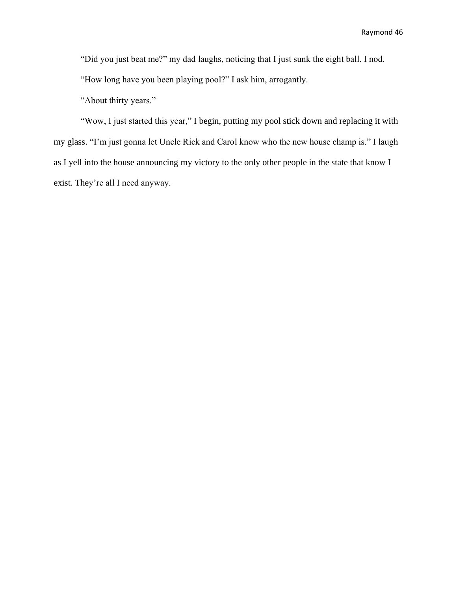"Did you just beat me?" my dad laughs, noticing that I just sunk the eight ball. I nod.

"How long have you been playing pool?" I ask him, arrogantly.

"About thirty years."

"Wow, I just started this year," I begin, putting my pool stick down and replacing it with my glass. "I'm just gonna let Uncle Rick and Carol know who the new house champ is." I laugh as I yell into the house announcing my victory to the only other people in the state that know I exist. They're all I need anyway.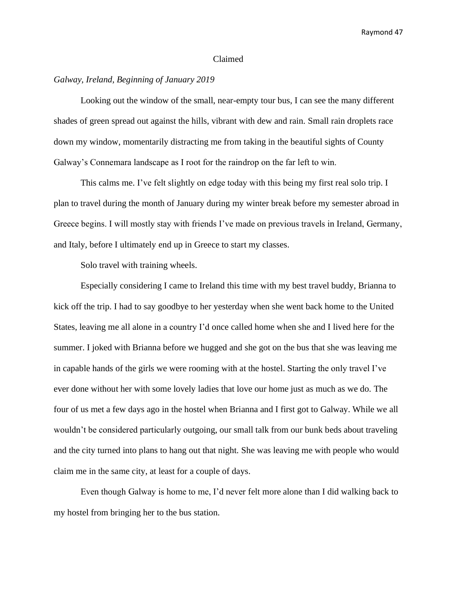#### Claimed

# *Galway, Ireland, Beginning of January 2019*

Looking out the window of the small, near-empty tour bus, I can see the many different shades of green spread out against the hills, vibrant with dew and rain. Small rain droplets race down my window, momentarily distracting me from taking in the beautiful sights of County Galway's Connemara landscape as I root for the raindrop on the far left to win.

This calms me. I've felt slightly on edge today with this being my first real solo trip. I plan to travel during the month of January during my winter break before my semester abroad in Greece begins. I will mostly stay with friends I've made on previous travels in Ireland, Germany, and Italy, before I ultimately end up in Greece to start my classes.

Solo travel with training wheels.

Especially considering I came to Ireland this time with my best travel buddy, Brianna to kick off the trip. I had to say goodbye to her yesterday when she went back home to the United States, leaving me all alone in a country I'd once called home when she and I lived here for the summer. I joked with Brianna before we hugged and she got on the bus that she was leaving me in capable hands of the girls we were rooming with at the hostel. Starting the only travel I've ever done without her with some lovely ladies that love our home just as much as we do. The four of us met a few days ago in the hostel when Brianna and I first got to Galway. While we all wouldn't be considered particularly outgoing, our small talk from our bunk beds about traveling and the city turned into plans to hang out that night. She was leaving me with people who would claim me in the same city, at least for a couple of days.

Even though Galway is home to me, I'd never felt more alone than I did walking back to my hostel from bringing her to the bus station.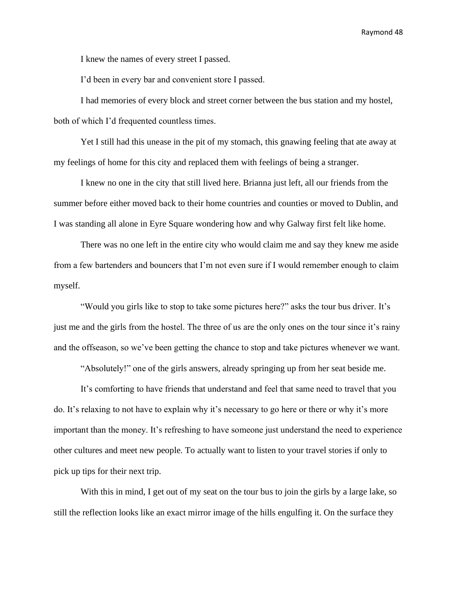I knew the names of every street I passed.

I'd been in every bar and convenient store I passed.

I had memories of every block and street corner between the bus station and my hostel, both of which I'd frequented countless times.

Yet I still had this unease in the pit of my stomach, this gnawing feeling that ate away at my feelings of home for this city and replaced them with feelings of being a stranger.

I knew no one in the city that still lived here. Brianna just left, all our friends from the summer before either moved back to their home countries and counties or moved to Dublin, and I was standing all alone in Eyre Square wondering how and why Galway first felt like home.

There was no one left in the entire city who would claim me and say they knew me aside from a few bartenders and bouncers that I'm not even sure if I would remember enough to claim myself.

"Would you girls like to stop to take some pictures here?" asks the tour bus driver. It's just me and the girls from the hostel. The three of us are the only ones on the tour since it's rainy and the offseason, so we've been getting the chance to stop and take pictures whenever we want.

"Absolutely!" one of the girls answers, already springing up from her seat beside me.

It's comforting to have friends that understand and feel that same need to travel that you do. It's relaxing to not have to explain why it's necessary to go here or there or why it's more important than the money. It's refreshing to have someone just understand the need to experience other cultures and meet new people. To actually want to listen to your travel stories if only to pick up tips for their next trip.

With this in mind, I get out of my seat on the tour bus to join the girls by a large lake, so still the reflection looks like an exact mirror image of the hills engulfing it. On the surface they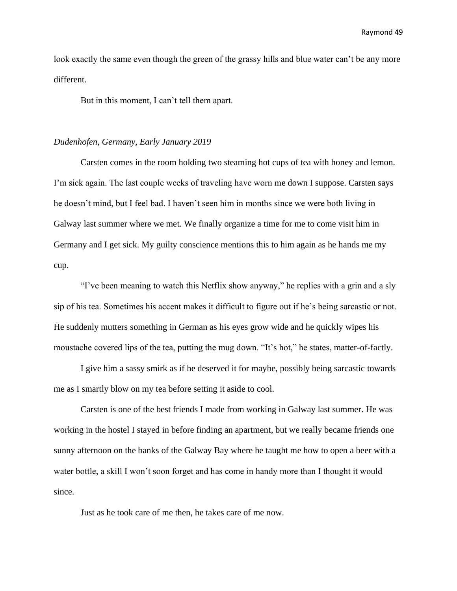look exactly the same even though the green of the grassy hills and blue water can't be any more different.

But in this moment, I can't tell them apart.

#### *Dudenhofen, Germany, Early January 2019*

Carsten comes in the room holding two steaming hot cups of tea with honey and lemon. I'm sick again. The last couple weeks of traveling have worn me down I suppose. Carsten says he doesn't mind, but I feel bad. I haven't seen him in months since we were both living in Galway last summer where we met. We finally organize a time for me to come visit him in Germany and I get sick. My guilty conscience mentions this to him again as he hands me my cup.

"I've been meaning to watch this Netflix show anyway," he replies with a grin and a sly sip of his tea. Sometimes his accent makes it difficult to figure out if he's being sarcastic or not. He suddenly mutters something in German as his eyes grow wide and he quickly wipes his moustache covered lips of the tea, putting the mug down. "It's hot," he states, matter-of-factly.

I give him a sassy smirk as if he deserved it for maybe, possibly being sarcastic towards me as I smartly blow on my tea before setting it aside to cool.

Carsten is one of the best friends I made from working in Galway last summer. He was working in the hostel I stayed in before finding an apartment, but we really became friends one sunny afternoon on the banks of the Galway Bay where he taught me how to open a beer with a water bottle, a skill I won't soon forget and has come in handy more than I thought it would since.

Just as he took care of me then, he takes care of me now.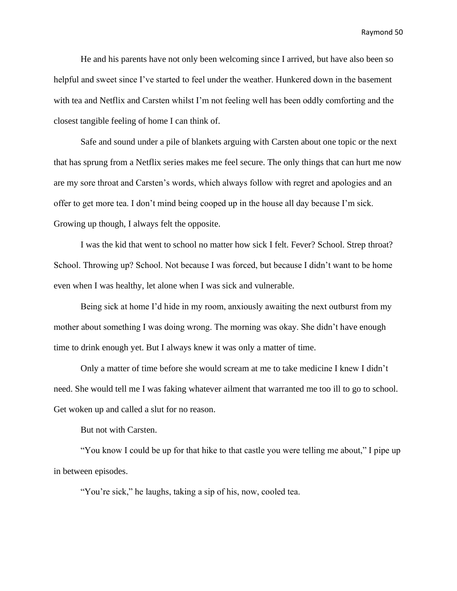He and his parents have not only been welcoming since I arrived, but have also been so helpful and sweet since I've started to feel under the weather. Hunkered down in the basement with tea and Netflix and Carsten whilst I'm not feeling well has been oddly comforting and the closest tangible feeling of home I can think of.

Safe and sound under a pile of blankets arguing with Carsten about one topic or the next that has sprung from a Netflix series makes me feel secure. The only things that can hurt me now are my sore throat and Carsten's words, which always follow with regret and apologies and an offer to get more tea. I don't mind being cooped up in the house all day because I'm sick. Growing up though, I always felt the opposite.

I was the kid that went to school no matter how sick I felt. Fever? School. Strep throat? School. Throwing up? School. Not because I was forced, but because I didn't want to be home even when I was healthy, let alone when I was sick and vulnerable.

Being sick at home I'd hide in my room, anxiously awaiting the next outburst from my mother about something I was doing wrong. The morning was okay. She didn't have enough time to drink enough yet. But I always knew it was only a matter of time.

Only a matter of time before she would scream at me to take medicine I knew I didn't need. She would tell me I was faking whatever ailment that warranted me too ill to go to school. Get woken up and called a slut for no reason.

But not with Carsten.

"You know I could be up for that hike to that castle you were telling me about," I pipe up in between episodes.

"You're sick," he laughs, taking a sip of his, now, cooled tea.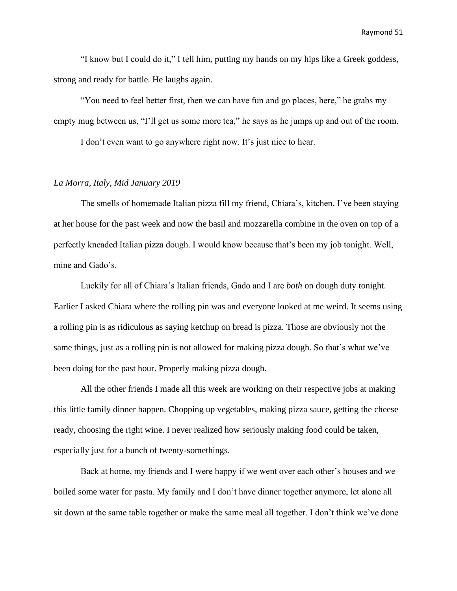"I know but I could do it," I tell him, putting my hands on my hips like a Greek goddess, strong and ready for battle. He laughs again.

"You need to feel better first, then we can have fun and go places, here," he grabs my empty mug between us, "I'll get us some more tea," he says as he jumps up and out of the room.

I don't even want to go anywhere right now. It's just nice to hear.

# *La Morra, Italy, Mid January 2019*

The smells of homemade Italian pizza fill my friend, Chiara's, kitchen. I've been staying at her house for the past week and now the basil and mozzarella combine in the oven on top of a perfectly kneaded Italian pizza dough. I would know because that's been my job tonight. Well, mine and Gado's.

Luckily for all of Chiara's Italian friends, Gado and I are *both* on dough duty tonight. Earlier I asked Chiara where the rolling pin was and everyone looked at me weird. It seems using a rolling pin is as ridiculous as saying ketchup on bread is pizza. Those are obviously not the same things, just as a rolling pin is not allowed for making pizza dough. So that's what we've been doing for the past hour. Properly making pizza dough.

All the other friends I made all this week are working on their respective jobs at making this little family dinner happen. Chopping up vegetables, making pizza sauce, getting the cheese ready, choosing the right wine. I never realized how seriously making food could be taken, especially just for a bunch of twenty-somethings.

Back at home, my friends and I were happy if we went over each other's houses and we boiled some water for pasta. My family and I don't have dinner together anymore, let alone all sit down at the same table together or make the same meal all together. I don't think we've done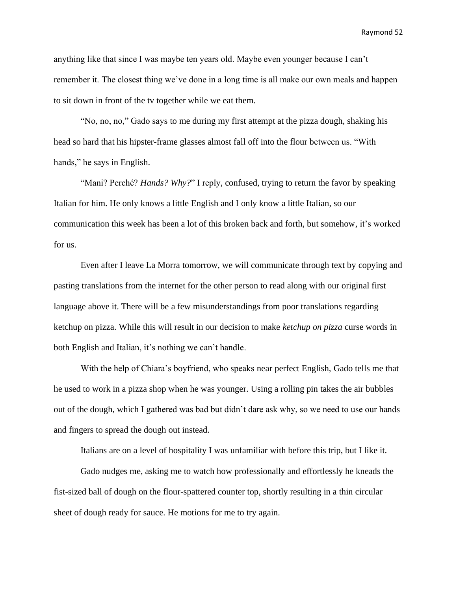anything like that since I was maybe ten years old. Maybe even younger because I can't remember it. The closest thing we've done in a long time is all make our own meals and happen to sit down in front of the tv together while we eat them.

"No, no, no," Gado says to me during my first attempt at the pizza dough, shaking his head so hard that his hipster-frame glasses almost fall off into the flour between us. "With hands," he says in English.

"Mani? Perché? *Hands? Why?*" I reply, confused, trying to return the favor by speaking Italian for him. He only knows a little English and I only know a little Italian, so our communication this week has been a lot of this broken back and forth, but somehow, it's worked for us.

Even after I leave La Morra tomorrow, we will communicate through text by copying and pasting translations from the internet for the other person to read along with our original first language above it. There will be a few misunderstandings from poor translations regarding ketchup on pizza. While this will result in our decision to make *ketchup on pizza* curse words in both English and Italian, it's nothing we can't handle.

With the help of Chiara's boyfriend, who speaks near perfect English, Gado tells me that he used to work in a pizza shop when he was younger. Using a rolling pin takes the air bubbles out of the dough, which I gathered was bad but didn't dare ask why, so we need to use our hands and fingers to spread the dough out instead.

Italians are on a level of hospitality I was unfamiliar with before this trip, but I like it.

Gado nudges me, asking me to watch how professionally and effortlessly he kneads the fist-sized ball of dough on the flour-spattered counter top, shortly resulting in a thin circular sheet of dough ready for sauce. He motions for me to try again.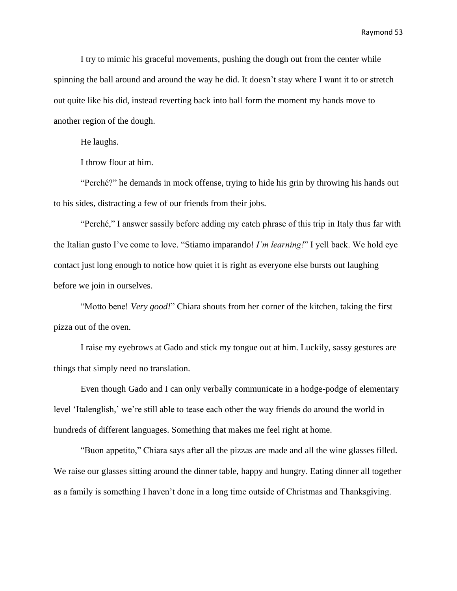I try to mimic his graceful movements, pushing the dough out from the center while spinning the ball around and around the way he did. It doesn't stay where I want it to or stretch out quite like his did, instead reverting back into ball form the moment my hands move to another region of the dough.

He laughs.

I throw flour at him.

"Perché?" he demands in mock offense, trying to hide his grin by throwing his hands out to his sides, distracting a few of our friends from their jobs.

"Perché," I answer sassily before adding my catch phrase of this trip in Italy thus far with the Italian gusto I've come to love. "Stiamo imparando! *I'm learning!*" I yell back. We hold eye contact just long enough to notice how quiet it is right as everyone else bursts out laughing before we join in ourselves.

"Motto bene! *Very good!*" Chiara shouts from her corner of the kitchen, taking the first pizza out of the oven.

I raise my eyebrows at Gado and stick my tongue out at him. Luckily, sassy gestures are things that simply need no translation.

Even though Gado and I can only verbally communicate in a hodge-podge of elementary level 'Italenglish,' we're still able to tease each other the way friends do around the world in hundreds of different languages. Something that makes me feel right at home.

"Buon appetito," Chiara says after all the pizzas are made and all the wine glasses filled. We raise our glasses sitting around the dinner table, happy and hungry. Eating dinner all together as a family is something I haven't done in a long time outside of Christmas and Thanksgiving.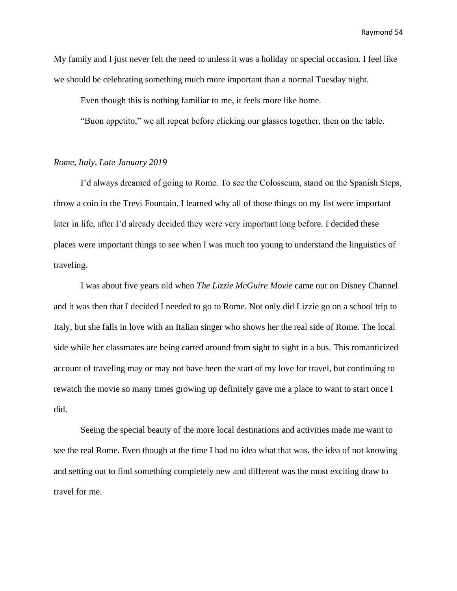My family and I just never felt the need to unless it was a holiday or special occasion. I feel like we should be celebrating something much more important than a normal Tuesday night.

Even though this is nothing familiar to me, it feels more like home.

"Buon appetito," we all repeat before clicking our glasses together, then on the table.

#### *Rome, Italy, Late January 2019*

I'd always dreamed of going to Rome. To see the Colosseum, stand on the Spanish Steps, throw a coin in the Trevi Fountain. I learned why all of those things on my list were important later in life, after I'd already decided they were very important long before. I decided these places were important things to see when I was much too young to understand the linguistics of traveling.

I was about five years old when *The Lizzie McGuire Movie* came out on Disney Channel and it was then that I decided I needed to go to Rome. Not only did Lizzie go on a school trip to Italy, but she falls in love with an Italian singer who shows her the real side of Rome. The local side while her classmates are being carted around from sight to sight in a bus. This romanticized account of traveling may or may not have been the start of my love for travel, but continuing to rewatch the movie so many times growing up definitely gave me a place to want to start once I did.

Seeing the special beauty of the more local destinations and activities made me want to see the real Rome. Even though at the time I had no idea what that was, the idea of not knowing and setting out to find something completely new and different was the most exciting draw to travel for me.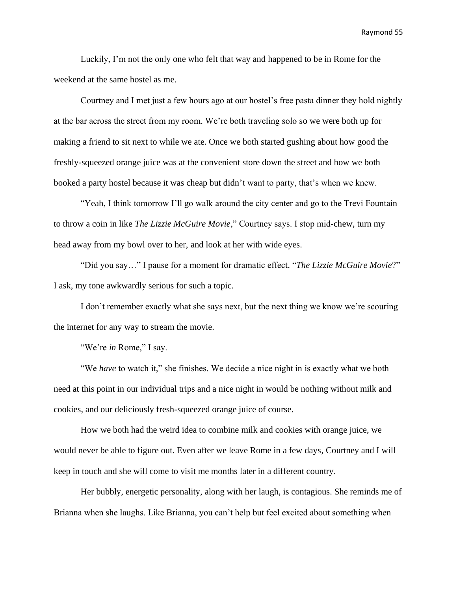Luckily, I'm not the only one who felt that way and happened to be in Rome for the weekend at the same hostel as me.

Courtney and I met just a few hours ago at our hostel's free pasta dinner they hold nightly at the bar across the street from my room. We're both traveling solo so we were both up for making a friend to sit next to while we ate. Once we both started gushing about how good the freshly-squeezed orange juice was at the convenient store down the street and how we both booked a party hostel because it was cheap but didn't want to party, that's when we knew.

"Yeah, I think tomorrow I'll go walk around the city center and go to the Trevi Fountain to throw a coin in like *The Lizzie McGuire Movie*," Courtney says. I stop mid-chew, turn my head away from my bowl over to her, and look at her with wide eyes.

"Did you say…" I pause for a moment for dramatic effect. "*The Lizzie McGuire Movie*?" I ask, my tone awkwardly serious for such a topic.

I don't remember exactly what she says next, but the next thing we know we're scouring the internet for any way to stream the movie.

"We're *in* Rome," I say.

"We *have* to watch it," she finishes. We decide a nice night in is exactly what we both need at this point in our individual trips and a nice night in would be nothing without milk and cookies, and our deliciously fresh-squeezed orange juice of course.

How we both had the weird idea to combine milk and cookies with orange juice, we would never be able to figure out. Even after we leave Rome in a few days, Courtney and I will keep in touch and she will come to visit me months later in a different country.

Her bubbly, energetic personality, along with her laugh, is contagious. She reminds me of Brianna when she laughs. Like Brianna, you can't help but feel excited about something when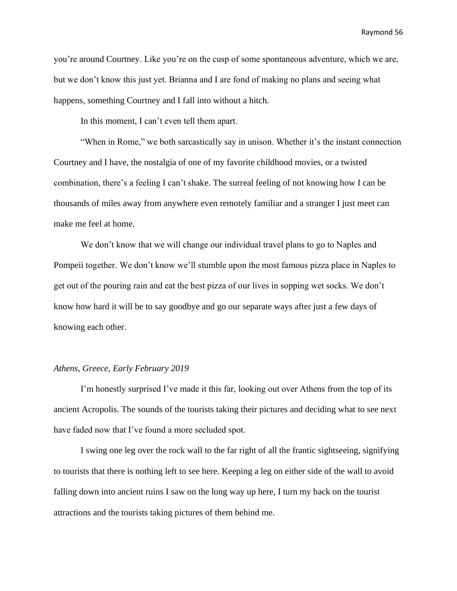you're around Courtney. Like you're on the cusp of some spontaneous adventure, which we are, but we don't know this just yet. Brianna and I are fond of making no plans and seeing what happens, something Courtney and I fall into without a hitch.

In this moment, I can't even tell them apart.

"When in Rome," we both sarcastically say in unison. Whether it's the instant connection Courtney and I have, the nostalgia of one of my favorite childhood movies, or a twisted combination, there's a feeling I can't shake. The surreal feeling of not knowing how I can be thousands of miles away from anywhere even remotely familiar and a stranger I just meet can make me feel at home.

We don't know that we will change our individual travel plans to go to Naples and Pompeii together. We don't know we'll stumble upon the most famous pizza place in Naples to get out of the pouring rain and eat the best pizza of our lives in sopping wet socks. We don't know how hard it will be to say goodbye and go our separate ways after just a few days of knowing each other.

#### *Athens, Greece, Early February 2019*

I'm honestly surprised I've made it this far, looking out over Athens from the top of its ancient Acropolis. The sounds of the tourists taking their pictures and deciding what to see next have faded now that I've found a more secluded spot.

I swing one leg over the rock wall to the far right of all the frantic sightseeing, signifying to tourists that there is nothing left to see here. Keeping a leg on either side of the wall to avoid falling down into ancient ruins I saw on the long way up here, I turn my back on the tourist attractions and the tourists taking pictures of them behind me.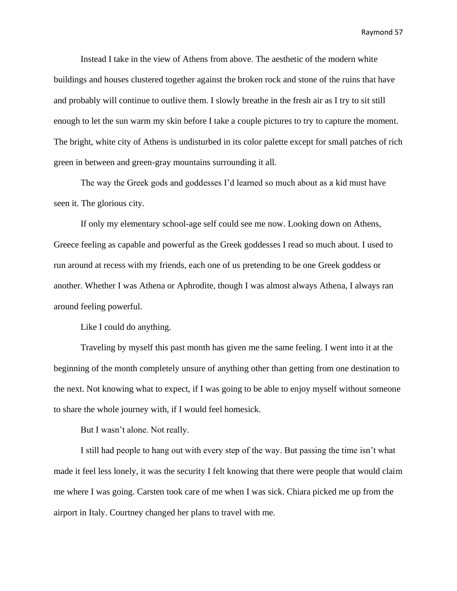Instead I take in the view of Athens from above. The aesthetic of the modern white buildings and houses clustered together against the broken rock and stone of the ruins that have and probably will continue to outlive them. I slowly breathe in the fresh air as I try to sit still enough to let the sun warm my skin before I take a couple pictures to try to capture the moment. The bright, white city of Athens is undisturbed in its color palette except for small patches of rich green in between and green-gray mountains surrounding it all.

The way the Greek gods and goddesses I'd learned so much about as a kid must have seen it. The glorious city.

If only my elementary school-age self could see me now. Looking down on Athens, Greece feeling as capable and powerful as the Greek goddesses I read so much about. I used to run around at recess with my friends, each one of us pretending to be one Greek goddess or another. Whether I was Athena or Aphrodite, though I was almost always Athena, I always ran around feeling powerful.

Like I could do anything.

Traveling by myself this past month has given me the same feeling. I went into it at the beginning of the month completely unsure of anything other than getting from one destination to the next. Not knowing what to expect, if I was going to be able to enjoy myself without someone to share the whole journey with, if I would feel homesick.

But I wasn't alone. Not really.

I still had people to hang out with every step of the way. But passing the time isn't what made it feel less lonely, it was the security I felt knowing that there were people that would claim me where I was going. Carsten took care of me when I was sick. Chiara picked me up from the airport in Italy. Courtney changed her plans to travel with me.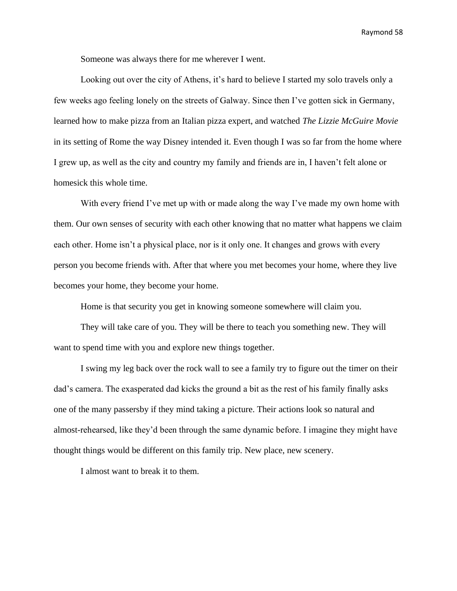Someone was always there for me wherever I went.

Looking out over the city of Athens, it's hard to believe I started my solo travels only a few weeks ago feeling lonely on the streets of Galway. Since then I've gotten sick in Germany, learned how to make pizza from an Italian pizza expert, and watched *The Lizzie McGuire Movie* in its setting of Rome the way Disney intended it. Even though I was so far from the home where I grew up, as well as the city and country my family and friends are in, I haven't felt alone or homesick this whole time.

With every friend I've met up with or made along the way I've made my own home with them. Our own senses of security with each other knowing that no matter what happens we claim each other. Home isn't a physical place, nor is it only one. It changes and grows with every person you become friends with. After that where you met becomes your home, where they live becomes your home, they become your home.

Home is that security you get in knowing someone somewhere will claim you.

They will take care of you. They will be there to teach you something new. They will want to spend time with you and explore new things together.

I swing my leg back over the rock wall to see a family try to figure out the timer on their dad's camera. The exasperated dad kicks the ground a bit as the rest of his family finally asks one of the many passersby if they mind taking a picture. Their actions look so natural and almost-rehearsed, like they'd been through the same dynamic before. I imagine they might have thought things would be different on this family trip. New place, new scenery.

I almost want to break it to them.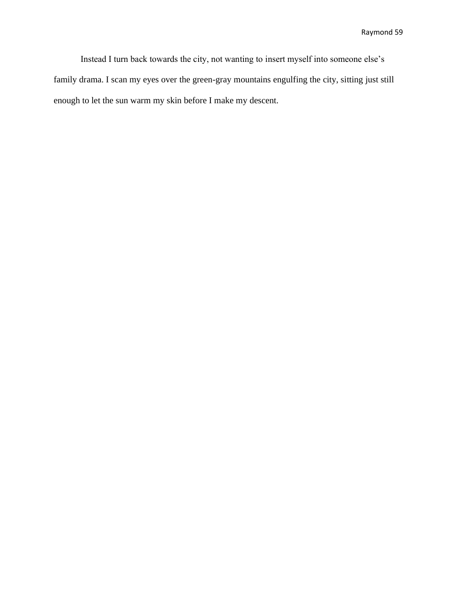Instead I turn back towards the city, not wanting to insert myself into someone else's family drama. I scan my eyes over the green-gray mountains engulfing the city, sitting just still enough to let the sun warm my skin before I make my descent.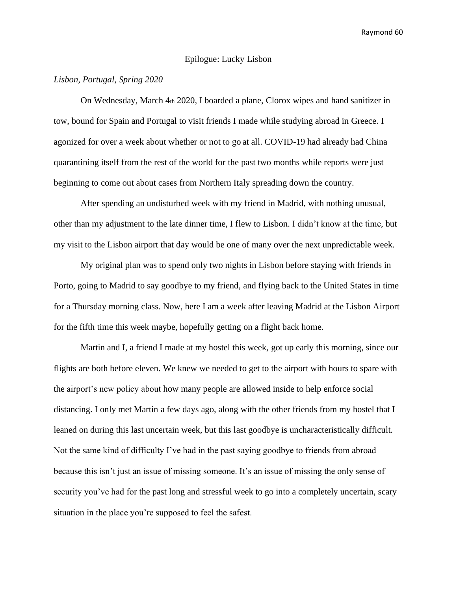# Epilogue: Lucky Lisbon

# *Lisbon, Portugal, Spring 2020*

On Wednesday, March 4th 2020, I boarded a plane, Clorox wipes and hand sanitizer in tow, bound for Spain and Portugal to visit friends I made while studying abroad in Greece. I agonized for over a week about whether or not to go at all. COVID-19 had already had China quarantining itself from the rest of the world for the past two months while reports were just beginning to come out about cases from Northern Italy spreading down the country.

After spending an undisturbed week with my friend in Madrid, with nothing unusual, other than my adjustment to the late dinner time, I flew to Lisbon. I didn't know at the time, but my visit to the Lisbon airport that day would be one of many over the next unpredictable week.

My original plan was to spend only two nights in Lisbon before staying with friends in Porto, going to Madrid to say goodbye to my friend, and flying back to the United States in time for a Thursday morning class. Now, here I am a week after leaving Madrid at the Lisbon Airport for the fifth time this week maybe, hopefully getting on a flight back home.

Martin and I, a friend I made at my hostel this week, got up early this morning, since our flights are both before eleven. We knew we needed to get to the airport with hours to spare with the airport's new policy about how many people are allowed inside to help enforce social distancing. I only met Martin a few days ago, along with the other friends from my hostel that I leaned on during this last uncertain week, but this last goodbye is uncharacteristically difficult. Not the same kind of difficulty I've had in the past saying goodbye to friends from abroad because this isn't just an issue of missing someone. It's an issue of missing the only sense of security you've had for the past long and stressful week to go into a completely uncertain, scary situation in the place you're supposed to feel the safest.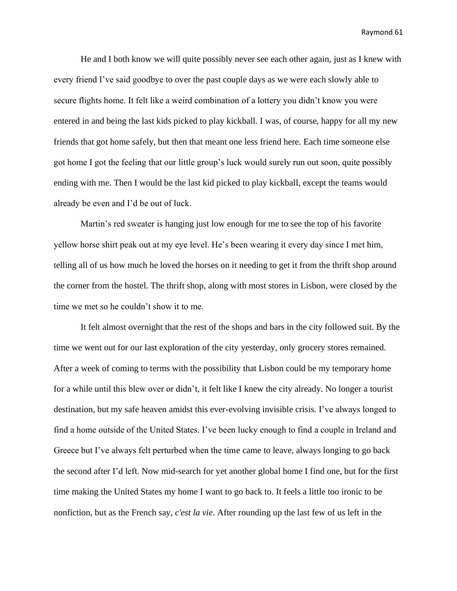He and I both know we will quite possibly never see each other again, just as I knew with every friend I've said goodbye to over the past couple days as we were each slowly able to secure flights home. It felt like a weird combination of a lottery you didn't know you were entered in and being the last kids picked to play kickball. I was, of course, happy for all my new friends that got home safely, but then that meant one less friend here. Each time someone else got home I got the feeling that our little group's luck would surely run out soon, quite possibly ending with me. Then I would be the last kid picked to play kickball, except the teams would already be even and I'd be out of luck.

Martin's red sweater is hanging just low enough for me to see the top of his favorite yellow horse shirt peak out at my eye level. He's been wearing it every day since I met him, telling all of us how much he loved the horses on it needing to get it from the thrift shop around the corner from the hostel. The thrift shop, along with most stores in Lisbon, were closed by the time we met so he couldn't show it to me.

It felt almost overnight that the rest of the shops and bars in the city followed suit. By the time we went out for our last exploration of the city yesterday, only grocery stores remained. After a week of coming to terms with the possibility that Lisbon could be my temporary home for a while until this blew over or didn't, it felt like I knew the city already. No longer a tourist destination, but my safe heaven amidst this ever-evolving invisible crisis. I've always longed to find a home outside of the United States. I've been lucky enough to find a couple in Ireland and Greece but I've always felt perturbed when the time came to leave, always longing to go back the second after I'd left. Now mid-search for yet another global home I find one, but for the first time making the United States my home I want to go back to. It feels a little too ironic to be nonfiction, but as the French say, *c'est la vie*. After rounding up the last few of us left in the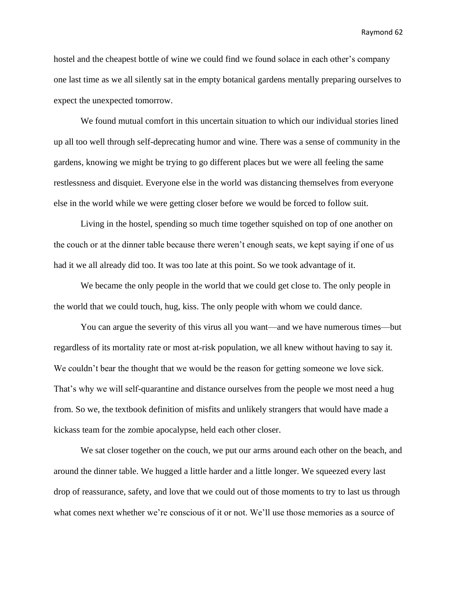hostel and the cheapest bottle of wine we could find we found solace in each other's company one last time as we all silently sat in the empty botanical gardens mentally preparing ourselves to expect the unexpected tomorrow.

We found mutual comfort in this uncertain situation to which our individual stories lined up all too well through self-deprecating humor and wine. There was a sense of community in the gardens, knowing we might be trying to go different places but we were all feeling the same restlessness and disquiet. Everyone else in the world was distancing themselves from everyone else in the world while we were getting closer before we would be forced to follow suit.

Living in the hostel, spending so much time together squished on top of one another on the couch or at the dinner table because there weren't enough seats, we kept saying if one of us had it we all already did too. It was too late at this point. So we took advantage of it.

We became the only people in the world that we could get close to. The only people in the world that we could touch, hug, kiss. The only people with whom we could dance.

You can argue the severity of this virus all you want—and we have numerous times—but regardless of its mortality rate or most at-risk population, we all knew without having to say it. We couldn't bear the thought that we would be the reason for getting someone we love sick. That's why we will self-quarantine and distance ourselves from the people we most need a hug from. So we, the textbook definition of misfits and unlikely strangers that would have made a kickass team for the zombie apocalypse, held each other closer.

We sat closer together on the couch, we put our arms around each other on the beach, and around the dinner table. We hugged a little harder and a little longer. We squeezed every last drop of reassurance, safety, and love that we could out of those moments to try to last us through what comes next whether we're conscious of it or not. We'll use those memories as a source of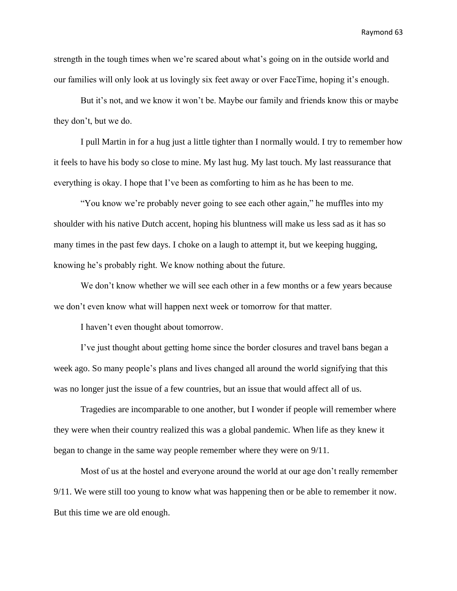strength in the tough times when we're scared about what's going on in the outside world and our families will only look at us lovingly six feet away or over FaceTime, hoping it's enough.

But it's not, and we know it won't be. Maybe our family and friends know this or maybe they don't, but we do.

I pull Martin in for a hug just a little tighter than I normally would. I try to remember how it feels to have his body so close to mine. My last hug. My last touch. My last reassurance that everything is okay. I hope that I've been as comforting to him as he has been to me.

"You know we're probably never going to see each other again," he muffles into my shoulder with his native Dutch accent, hoping his bluntness will make us less sad as it has so many times in the past few days. I choke on a laugh to attempt it, but we keeping hugging, knowing he's probably right. We know nothing about the future.

We don't know whether we will see each other in a few months or a few years because we don't even know what will happen next week or tomorrow for that matter.

I haven't even thought about tomorrow.

I've just thought about getting home since the border closures and travel bans began a week ago. So many people's plans and lives changed all around the world signifying that this was no longer just the issue of a few countries, but an issue that would affect all of us.

Tragedies are incomparable to one another, but I wonder if people will remember where they were when their country realized this was a global pandemic. When life as they knew it began to change in the same way people remember where they were on 9/11.

Most of us at the hostel and everyone around the world at our age don't really remember 9/11. We were still too young to know what was happening then or be able to remember it now. But this time we are old enough.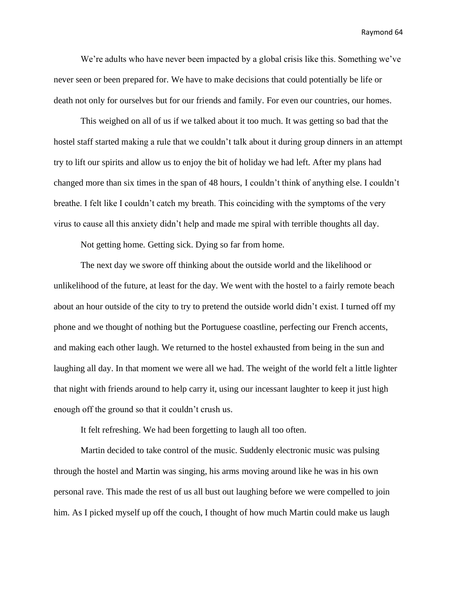We're adults who have never been impacted by a global crisis like this. Something we've never seen or been prepared for. We have to make decisions that could potentially be life or death not only for ourselves but for our friends and family. For even our countries, our homes.

This weighed on all of us if we talked about it too much. It was getting so bad that the hostel staff started making a rule that we couldn't talk about it during group dinners in an attempt try to lift our spirits and allow us to enjoy the bit of holiday we had left. After my plans had changed more than six times in the span of 48 hours, I couldn't think of anything else. I couldn't breathe. I felt like I couldn't catch my breath. This coinciding with the symptoms of the very virus to cause all this anxiety didn't help and made me spiral with terrible thoughts all day.

Not getting home. Getting sick. Dying so far from home.

The next day we swore off thinking about the outside world and the likelihood or unlikelihood of the future, at least for the day. We went with the hostel to a fairly remote beach about an hour outside of the city to try to pretend the outside world didn't exist. I turned off my phone and we thought of nothing but the Portuguese coastline, perfecting our French accents, and making each other laugh. We returned to the hostel exhausted from being in the sun and laughing all day. In that moment we were all we had. The weight of the world felt a little lighter that night with friends around to help carry it, using our incessant laughter to keep it just high enough off the ground so that it couldn't crush us.

It felt refreshing. We had been forgetting to laugh all too often.

Martin decided to take control of the music. Suddenly electronic music was pulsing through the hostel and Martin was singing, his arms moving around like he was in his own personal rave. This made the rest of us all bust out laughing before we were compelled to join him. As I picked myself up off the couch, I thought of how much Martin could make us laugh